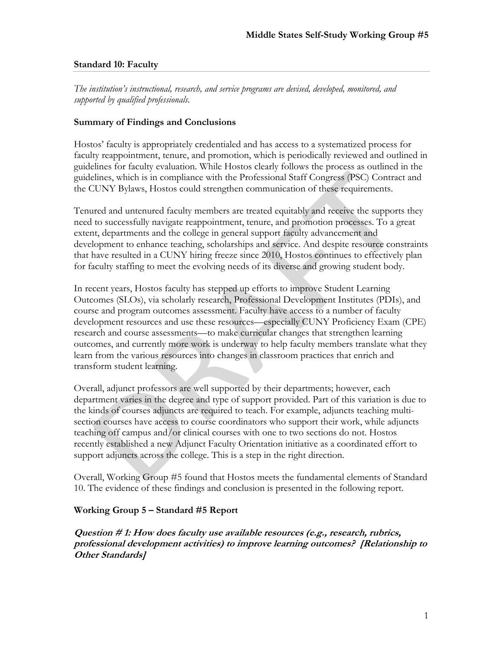#### **Standard 10: Faculty**

*The institution's instructional, research, and service programs are devised, developed, monitored, and supported by qualified professionals.* 

## **Summary of Findings and Conclusions**

Hostos' faculty is appropriately credentialed and has access to a systematized process for faculty reappointment, tenure, and promotion, which is periodically reviewed and outlined in guidelines for faculty evaluation. While Hostos clearly follows the process as outlined in the guidelines, which is in compliance with the Professional Staff Congress (PSC) Contract and the CUNY Bylaws, Hostos could strengthen communication of these requirements.

Tenured and untenured faculty members are treated equitably and receive the supports they need to successfully navigate reappointment, tenure, and promotion processes. To a great extent, departments and the college in general support faculty advancement and development to enhance teaching, scholarships and service. And despite resource constraints that have resulted in a CUNY hiring freeze since 2010, Hostos continues to effectively plan for faculty staffing to meet the evolving needs of its diverse and growing student body.

In recent years, Hostos faculty has stepped up efforts to improve Student Learning Outcomes (SLOs), via scholarly research, Professional Development Institutes (PDIs), and course and program outcomes assessment. Faculty have access to a number of faculty development resources and use these resources—especially CUNY Proficiency Exam (CPE) research and course assessments—to make curricular changes that strengthen learning outcomes, and currently more work is underway to help faculty members translate what they learn from the various resources into changes in classroom practices that enrich and transform student learning.

Overall, adjunct professors are well supported by their departments; however, each department varies in the degree and type of support provided. Part of this variation is due to the kinds of courses adjuncts are required to teach. For example, adjuncts teaching multisection courses have access to course coordinators who support their work, while adjuncts teaching off campus and/or clinical courses with one to two sections do not. Hostos recently established a new Adjunct Faculty Orientation initiative as a coordinated effort to support adjuncts across the college. This is a step in the right direction.

Overall, Working Group #5 found that Hostos meets the fundamental elements of Standard 10. The evidence of these findings and conclusion is presented in the following report.

## **Working Group 5 – Standard #5 Report**

**Question # 1: How does faculty use available resources (e.g., research, rubrics, professional development activities) to improve learning outcomes? [Relationship to Other Standards]**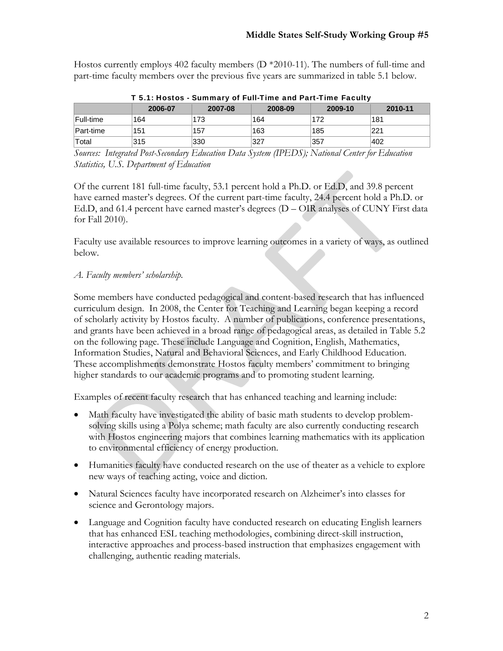Hostos currently employs 402 faculty members (D \*2010-11). The numbers of full-time and part-time faculty members over the previous five years are summarized in table 5.1 below.

|               | 2006-07                    | 2007-08                       | 2008-09 | 2009-10    | 2010-11           |
|---------------|----------------------------|-------------------------------|---------|------------|-------------------|
|               |                            |                               |         |            |                   |
| Full-time     | 164                        | 173                           | 164     | 172        | 181               |
| Part-time     | 151                        | .157                          | 163     | 185        | 221               |
| Total         | 315                        | 330                           | 327     | 357        | 402               |
| $\mathcal{C}$ | 1. . <i>I</i> n <i>. C</i> | $\Gamma$ $\tau$<br>at Danmark | $\pi$   | $\sqrt{ }$ | $\cdots$ $\cdots$ |

T 5.1: Hostos - Summary of Full-Time and Part-Time Faculty

*Sources: Integrated Post-Secondary Education Data System (IPEDS); National Center for Education Statistics, U.S. Department of Education* 

Of the current 181 full-time faculty, 53.1 percent hold a Ph.D. or Ed.D, and 39.8 percent have earned master's degrees. Of the current part-time faculty, 24.4 percent hold a Ph.D. or Ed.D, and 61.4 percent have earned master's degrees (D – OIR analyses of CUNY First data for Fall 2010).

Faculty use available resources to improve learning outcomes in a variety of ways, as outlined below.

## *A. Faculty members' scholarship.*

Some members have conducted pedagogical and content-based research that has influenced curriculum design. In 2008, the Center for Teaching and Learning began keeping a record of scholarly activity by Hostos faculty. A number of publications, conference presentations, and grants have been achieved in a broad range of pedagogical areas, as detailed in Table 5.2 on the following page. These include Language and Cognition, English, Mathematics, Information Studies, Natural and Behavioral Sciences, and Early Childhood Education. These accomplishments demonstrate Hostos faculty members' commitment to bringing higher standards to our academic programs and to promoting student learning.

Examples of recent faculty research that has enhanced teaching and learning include:

- Math faculty have investigated the ability of basic math students to develop problemsolving skills using a Polya scheme; math faculty are also currently conducting research with Hostos engineering majors that combines learning mathematics with its application to environmental efficiency of energy production.
- Humanities faculty have conducted research on the use of theater as a vehicle to explore new ways of teaching acting, voice and diction.
- Natural Sciences faculty have incorporated research on Alzheimer's into classes for science and Gerontology majors.
- Language and Cognition faculty have conducted research on educating English learners that has enhanced ESL teaching methodologies, combining direct-skill instruction, interactive approaches and process-based instruction that emphasizes engagement with challenging, authentic reading materials.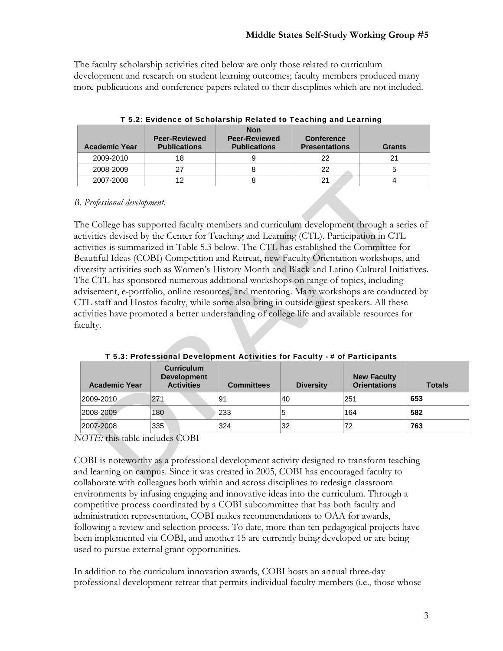The faculty scholarship activities cited below are only those related to curriculum development and research on student learning outcomes; faculty members produced many more publications and conference papers related to their disciplines which are not included.

| <b>Academic Year</b> | <b>Peer-Reviewed</b><br><b>Publications</b> | <b>Non</b><br><b>Peer-Reviewed</b><br><b>Publications</b> | <b>Conference</b><br><b>Presentations</b> | <b>Grants</b> |
|----------------------|---------------------------------------------|-----------------------------------------------------------|-------------------------------------------|---------------|
| 2009-2010            | 18                                          |                                                           | 22                                        | 21            |
| 2008-2009            |                                             |                                                           | 22                                        |               |
| 2007-2008            | 12                                          |                                                           | 21                                        |               |

|  | T 5.2: Evidence of Scholarship Related to Teaching and Learning |  |  |
|--|-----------------------------------------------------------------|--|--|
|  |                                                                 |  |  |

## *B. Professional development.*

The College has supported faculty members and curriculum development through a series of activities devised by the Center for Teaching and Learning (CTL). Participation in CTL activities is summarized in Table 5.3 below. The CTL has established the Committee for Beautiful Ideas (COBI) Competition and Retreat, new Faculty Orientation workshops, and diversity activities such as Women's History Month and Black and Latino Cultural Initiatives. The CTL has sponsored numerous additional workshops on range of topics, including advisement, e-portfolio, online resources, and mentoring. Many workshops are conducted by CTL staff and Hostos faculty, while some also bring in outside guest speakers. All these activities have promoted a better understanding of college life and available resources for faculty.

| <b>Academic Year</b> | <b>Curriculum</b><br><b>Development</b><br><b>Activities</b> | <b>Committees</b> | <b>Diversity</b> | <b>New Faculty</b><br><b>Orientations</b> | <b>Totals</b> |
|----------------------|--------------------------------------------------------------|-------------------|------------------|-------------------------------------------|---------------|
| 2009-2010            | 271                                                          | 91                | 40               | 251                                       | 653           |
| 2008-2009            | 180                                                          | 233               | b                | 164                                       | 582           |
| 2007-2008            | 335                                                          | 324               | 32               | 72                                        | 763           |

T 5.3: Professional Development Activities for Faculty - # of Participants

*NOTE:* this table includes COBI

COBI is noteworthy as a professional development activity designed to transform teaching and learning on campus. Since it was created in 2005, COBI has encouraged faculty to collaborate with colleagues both within and across disciplines to redesign classroom environments by infusing engaging and innovative ideas into the curriculum. Through a competitive process coordinated by a COBI subcommittee that has both faculty and administration representation, COBI makes recommendations to OAA for awards, following a review and selection process. To date, more than ten pedagogical projects have been implemented via COBI, and another 15 are currently being developed or are being used to pursue external grant opportunities.

In addition to the curriculum innovation awards, COBI hosts an annual three-day professional development retreat that permits individual faculty members (i.e., those whose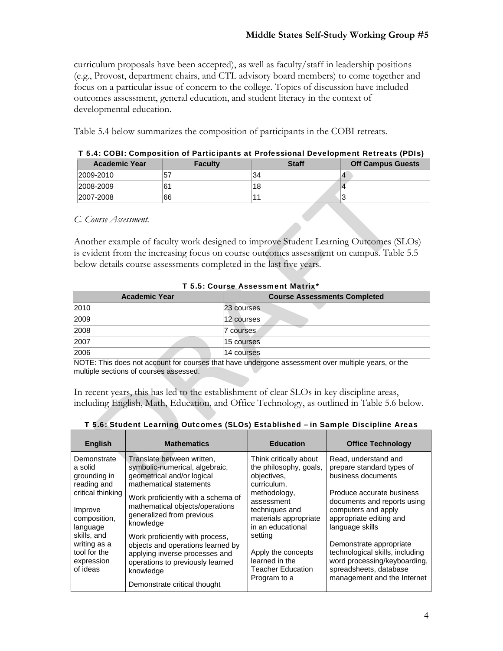curriculum proposals have been accepted), as well as faculty/staff in leadership positions (e.g., Provost, department chairs, and CTL advisory board members) to come together and focus on a particular issue of concern to the college. Topics of discussion have included outcomes assessment, general education, and student literacy in the context of developmental education.

Table 5.4 below summarizes the composition of participants in the COBI retreats.

|                      | 1 J.4. CODI. COMPOSITION OF FRITIDIPANTS AT FTOICSSIONAL DEVELOPMENT INCITEATS (FDIS) |              |                          |  |  |  |  |
|----------------------|---------------------------------------------------------------------------------------|--------------|--------------------------|--|--|--|--|
| <b>Academic Year</b> | <b>Faculty</b>                                                                        | <b>Staff</b> | <b>Off Campus Guests</b> |  |  |  |  |
| 2009-2010            |                                                                                       | 34           |                          |  |  |  |  |
| 2008-2009            |                                                                                       | 18           |                          |  |  |  |  |
| 2007-2008            | 66                                                                                    |              |                          |  |  |  |  |

#### T 5.4: COBI: Composition of Participants at Professional Development Retreats (PDIs)

#### *C. Course Assessment.*

Another example of faculty work designed to improve Student Learning Outcomes (SLOs) is evident from the increasing focus on course outcomes assessment on campus. Table 5.5 below details course assessments completed in the last five years.

| <b>Academic Year</b> | <b>Course Assessments Completed</b> |  |  |  |  |
|----------------------|-------------------------------------|--|--|--|--|
| 2010                 | 23 courses                          |  |  |  |  |
| 2009                 | 12 courses                          |  |  |  |  |
| 2008                 | 7 courses                           |  |  |  |  |
| 2007                 | 15 courses                          |  |  |  |  |
| 2006                 | 14 courses                          |  |  |  |  |
|                      |                                     |  |  |  |  |

#### T 5.5: Course Assessment Matrix\*

NOTE: This does not account for courses that have undergone assessment over multiple years, or the multiple sections of courses assessed.

In recent years, this has led to the establishment of clear SLOs in key discipline areas, including English, Math, Education, and Office Technology, as outlined in Table 5.6 below.

| <b>English</b>                                                                                                                                                                             | <b>Mathematics</b>                                                                                                                                                                                                                                                                                                                                                                     | <b>Education</b>                                                                                                                                                                                                                                     | <b>Office Technology</b>                                                                                                                                                                                                                                                                                                         |  |
|--------------------------------------------------------------------------------------------------------------------------------------------------------------------------------------------|----------------------------------------------------------------------------------------------------------------------------------------------------------------------------------------------------------------------------------------------------------------------------------------------------------------------------------------------------------------------------------------|------------------------------------------------------------------------------------------------------------------------------------------------------------------------------------------------------------------------------------------------------|----------------------------------------------------------------------------------------------------------------------------------------------------------------------------------------------------------------------------------------------------------------------------------------------------------------------------------|--|
| Demonstrate<br>a solid<br>grounding in<br>reading and<br>critical thinking<br>Improve<br>composition.<br>language<br>skills, and<br>writing as a<br>tool for the<br>expression<br>of ideas | Translate between written,<br>symbolic-numerical, algebraic,<br>geometrical and/or logical<br>mathematical statements<br>Work proficiently with a schema of<br>mathematical objects/operations<br>generalized from previous<br>knowledge<br>Work proficiently with process,<br>objects and operations learned by<br>applying inverse processes and<br>operations to previously learned | Think critically about<br>the philosophy, goals,<br>objectives,<br>curriculum.<br>methodology,<br>assessment<br>techniques and<br>materials appropriate<br>in an educational<br>setting<br>Apply the concepts<br>learned in the<br>Teacher Education | Read, understand and<br>prepare standard types of<br>business documents<br>Produce accurate business<br>documents and reports using<br>computers and apply<br>appropriate editing and<br>language skills<br>Demonstrate appropriate<br>technological skills, including<br>word processing/keyboarding,<br>spreadsheets, database |  |
|                                                                                                                                                                                            | knowledge<br>Demonstrate critical thought                                                                                                                                                                                                                                                                                                                                              | Program to a                                                                                                                                                                                                                                         | management and the Internet                                                                                                                                                                                                                                                                                                      |  |

## T 5.6: Student Learning Outcomes (SLOs) Established – in Sample Discipline Areas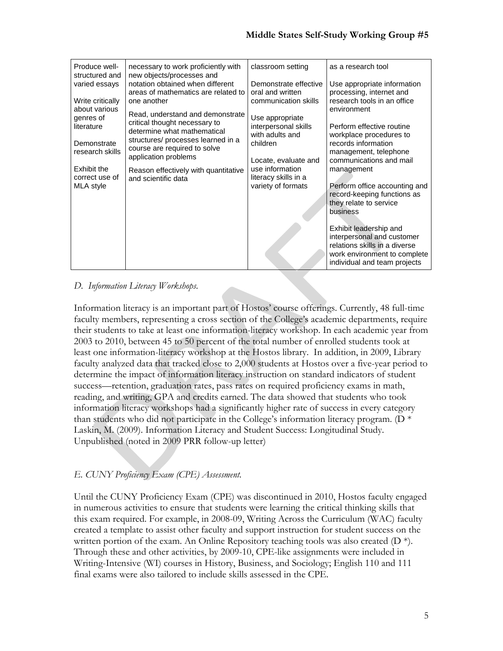| Produce well-<br>structured and   | necessary to work proficiently with<br>new objects/processes and                                 | classroom setting                                          | as a research tool                                                                                                                                    |
|-----------------------------------|--------------------------------------------------------------------------------------------------|------------------------------------------------------------|-------------------------------------------------------------------------------------------------------------------------------------------------------|
| varied essays                     | notation obtained when different<br>areas of mathematics are related to                          | Demonstrate effective<br>oral and written                  | Use appropriate information<br>processing, internet and                                                                                               |
| Write critically<br>about various | one another                                                                                      | communication skills                                       | research tools in an office<br>environment                                                                                                            |
| genres of<br>literature           | Read, understand and demonstrate<br>critical thought necessary to<br>determine what mathematical | Use appropriate<br>interpersonal skills<br>with adults and | Perform effective routine<br>workplace procedures to                                                                                                  |
| Demonstrate<br>research skills    | structures/ processes learned in a<br>course are required to solve<br>application problems       | children                                                   | records information<br>management, telephone                                                                                                          |
| Exhibit the                       | Reason effectively with quantitative<br>and scientific data                                      | Locate, evaluate and<br>use information                    | communications and mail<br>management                                                                                                                 |
| correct use of<br>MLA style       |                                                                                                  | literacy skills in a<br>variety of formats                 | Perform office accounting and<br>record-keeping functions as<br>they relate to service<br>business                                                    |
|                                   |                                                                                                  |                                                            | Exhibit leadership and<br>interpersonal and customer<br>relations skills in a diverse<br>work environment to complete<br>individual and team projects |

# *D. Information Literacy Workshops.*

Information literacy is an important part of Hostos' course offerings. Currently, 48 full-time faculty members, representing a cross section of the College's academic departments, require their students to take at least one information-literacy workshop. In each academic year from 2003 to 2010, between 45 to 50 percent of the total number of enrolled students took at least one information-literacy workshop at the Hostos library. In addition, in 2009, Library faculty analyzed data that tracked close to 2,000 students at Hostos over a five-year period to determine the impact of information literacy instruction on standard indicators of student success—retention, graduation rates, pass rates on required proficiency exams in math, reading, and writing, GPA and credits earned. The data showed that students who took information literacy workshops had a significantly higher rate of success in every category than students who did not participate in the College's information literacy program. ( $D^*$ Laskin, M. (2009). Information Literacy and Student Success: Longitudinal Study. Unpublished (noted in 2009 PRR follow-up letter)

# *E. CUNY Proficiency Exam (CPE) Assessment.*

Until the CUNY Proficiency Exam (CPE) was discontinued in 2010, Hostos faculty engaged in numerous activities to ensure that students were learning the critical thinking skills that this exam required. For example, in 2008-09, Writing Across the Curriculum (WAC) faculty created a template to assist other faculty and support instruction for student success on the written portion of the exam. An Online Repository teaching tools was also created  $(D^*)$ . Through these and other activities, by 2009-10, CPE-like assignments were included in Writing-Intensive (WI) courses in History, Business, and Sociology; English 110 and 111 final exams were also tailored to include skills assessed in the CPE.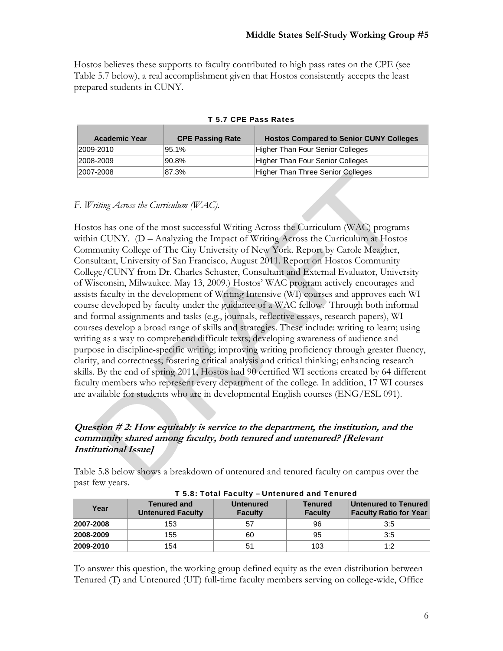Hostos believes these supports to faculty contributed to high pass rates on the CPE (see Table 5.7 below), a real accomplishment given that Hostos consistently accepts the least prepared students in CUNY.

| <b>Academic Year</b> | <b>CPE Passing Rate</b> | <b>Hostos Compared to Senior CUNY Colleges</b> |
|----------------------|-------------------------|------------------------------------------------|
| 2009-2010            | 95.1%                   | <b>Higher Than Four Senior Colleges</b>        |
| 2008-2009            | 90.8%                   | Higher Than Four Senior Colleges               |
| 2007-2008            | 87.3%                   | Higher Than Three Senior Colleges              |

#### T 5.7 CPE Pass Rates

## *F. Writing Across the Curriculum (WAC).*

Hostos has one of the most successful Writing Across the Curriculum (WAC) programs within CUNY. (D – Analyzing the Impact of Writing Across the Curriculum at Hostos Community College of The City University of New York. Report by Carole Meagher, Consultant, University of San Francisco, August 2011. Report on Hostos Community College/CUNY from Dr. Charles Schuster, Consultant and External Evaluator, University of Wisconsin, Milwaukee. May 13, 2009.) Hostos' WAC program actively encourages and assists faculty in the development of Writing Intensive (WI) courses and approves each WI course developed by faculty under the guidance of a WAC fellow. Through both informal and formal assignments and tasks (e.g., journals, reflective essays, research papers), WI courses develop a broad range of skills and strategies. These include: writing to learn; using writing as a way to comprehend difficult texts; developing awareness of audience and purpose in discipline-specific writing; improving writing proficiency through greater fluency, clarity, and correctness; fostering critical analysis and critical thinking; enhancing research skills. By the end of spring 2011, Hostos had 90 certified WI sections created by 64 different faculty members who represent every department of the college. In addition, 17 WI courses are available for students who are in developmental English courses (ENG/ESL 091).

## **Question # 2: How equitably is service to the department, the institution, and the community shared among faculty, both tenured and untenured? [Relevant Institutional Issue]**

Table 5.8 below shows a breakdown of untenured and tenured faculty on campus over the past few years.

|           | .                                              |                                    |                                  |                                                              |  |  |  |
|-----------|------------------------------------------------|------------------------------------|----------------------------------|--------------------------------------------------------------|--|--|--|
| Year      | <b>Tenured and</b><br><b>Untenured Faculty</b> | <b>Untenured</b><br><b>Faculty</b> | <b>Tenured</b><br><b>Faculty</b> | <b>Untenured to Tenured</b><br><b>Faculty Ratio for Year</b> |  |  |  |
| 2007-2008 | 153                                            | 57                                 | 96                               | 3.5                                                          |  |  |  |
| 2008-2009 | 155                                            | 60                                 | 95                               | 3:5                                                          |  |  |  |
| 2009-2010 | 154                                            | 51                                 | 103                              | 1:2                                                          |  |  |  |

T 5.8: Total Faculty – Untenured and Tenured

To answer this question, the working group defined equity as the even distribution between Tenured (T) and Untenured (UT) full-time faculty members serving on college-wide, Office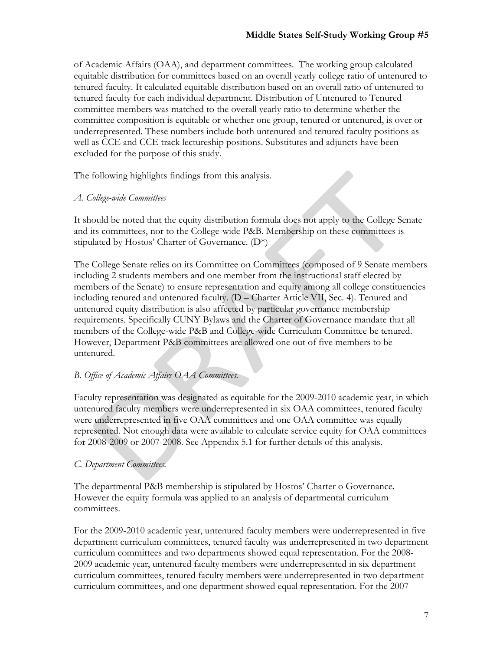of Academic Affairs (OAA), and department committees. The working group calculated equitable distribution for committees based on an overall yearly college ratio of untenured to tenured faculty. It calculated equitable distribution based on an overall ratio of untenured to tenured faculty for each individual department. Distribution of Untenured to Tenured committee members was matched to the overall yearly ratio to determine whether the committee composition is equitable or whether one group, tenured or untenured, is over or underrepresented. These numbers include both untenured and tenured faculty positions as well as CCE and CCE track lectureship positions. Substitutes and adjuncts have been excluded for the purpose of this study.

The following highlights findings from this analysis.

## *A. College-wide Committees*

It should be noted that the equity distribution formula does not apply to the College Senate and its committees, nor to the College-wide P&B. Membership on these committees is stipulated by Hostos' Charter of Governance. (D\*)

The College Senate relies on its Committee on Committees (composed of 9 Senate members including 2 students members and one member from the instructional staff elected by members of the Senate) to ensure representation and equity among all college constituencies including tenured and untenured faculty. (D – Charter Article VII, Sec. 4). Tenured and untenured equity distribution is also affected by particular governance membership requirements. Specifically CUNY Bylaws and the Charter of Governance mandate that all members of the College-wide P&B and College-wide Curriculum Committee be tenured. However, Department P&B committees are allowed one out of five members to be untenured.

## *B. Office of Academic Affairs OAA Committees.*

Faculty representation was designated as equitable for the 2009-2010 academic year, in which untenured faculty members were underrepresented in six OAA committees, tenured faculty were underrepresented in five OAA committees and one OAA committee was equally represented. Not enough data were available to calculate service equity for OAA committees for 2008-2009 or 2007-2008. See Appendix 5.1 for further details of this analysis.

## *C. Department Committees.*

The departmental P&B membership is stipulated by Hostos' Charter o Governance. However the equity formula was applied to an analysis of departmental curriculum committees.

For the 2009-2010 academic year, untenured faculty members were underrepresented in five department curriculum committees, tenured faculty was underrepresented in two department curriculum committees and two departments showed equal representation. For the 2008- 2009 academic year, untenured faculty members were underrepresented in six department curriculum committees, tenured faculty members were underrepresented in two department curriculum committees, and one department showed equal representation. For the 2007-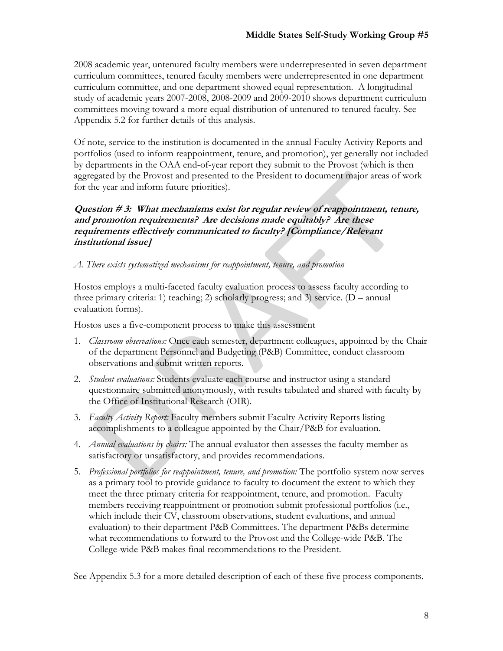2008 academic year, untenured faculty members were underrepresented in seven department curriculum committees, tenured faculty members were underrepresented in one department curriculum committee, and one department showed equal representation. A longitudinal study of academic years 2007-2008, 2008-2009 and 2009-2010 shows department curriculum committees moving toward a more equal distribution of untenured to tenured faculty. See Appendix 5.2 for further details of this analysis.

Of note, service to the institution is documented in the annual Faculty Activity Reports and portfolios (used to inform reappointment, tenure, and promotion), yet generally not included by departments in the OAA end-of-year report they submit to the Provost (which is then aggregated by the Provost and presented to the President to document major areas of work for the year and inform future priorities).

## **Question # 3: What mechanisms exist for regular review of reappointment, tenure, and promotion requirements? Are decisions made equitably? Are these requirements effectively communicated to faculty? [Compliance/Relevant institutional issue]**

### *A. There exists systematized mechanisms for reappointment, tenure, and promotion*

Hostos employs a multi-faceted faculty evaluation process to assess faculty according to three primary criteria: 1) teaching; 2) scholarly progress; and 3) service. (D – annual evaluation forms).

Hostos uses a five-component process to make this assessment

- 1. *Classroom observations:* Once each semester, department colleagues, appointed by the Chair of the department Personnel and Budgeting (P&B) Committee, conduct classroom observations and submit written reports.
- 2. *Student evaluations:* Students evaluate each course and instructor using a standard questionnaire submitted anonymously, with results tabulated and shared with faculty by the Office of Institutional Research (OIR).
- 3. *Faculty Activity Report:* Faculty members submit Faculty Activity Reports listing accomplishments to a colleague appointed by the Chair/P&B for evaluation.
- 4. *Annual evaluations by chairs:* The annual evaluator then assesses the faculty member as satisfactory or unsatisfactory, and provides recommendations.
- 5. *Professional portfolios for reappointment, tenure, and promotion:* The portfolio system now serves as a primary tool to provide guidance to faculty to document the extent to which they meet the three primary criteria for reappointment, tenure, and promotion. Faculty members receiving reappointment or promotion submit professional portfolios (i.e., which include their CV, classroom observations, student evaluations, and annual evaluation) to their department P&B Committees. The department P&Bs determine what recommendations to forward to the Provost and the College-wide P&B. The College-wide P&B makes final recommendations to the President.

See Appendix 5.3 for a more detailed description of each of these five process components.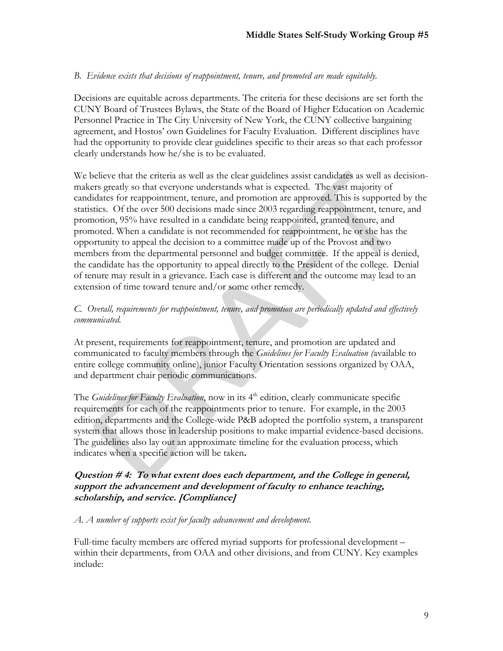## *B. Evidence exists that decisions of reappointment, tenure, and promoted are made equitably.*

Decisions are equitable across departments. The criteria for these decisions are set forth the CUNY Board of Trustees Bylaws, the State of the Board of Higher Education on Academic Personnel Practice in The City University of New York, the CUNY collective bargaining agreement, and Hostos' own Guidelines for Faculty Evaluation. Different disciplines have had the opportunity to provide clear guidelines specific to their areas so that each professor clearly understands how he/she is to be evaluated.

We believe that the criteria as well as the clear guidelines assist candidates as well as decisionmakers greatly so that everyone understands what is expected. The vast majority of candidates for reappointment, tenure, and promotion are approved. This is supported by the statistics. Of the over 500 decisions made since 2003 regarding reappointment, tenure, and promotion, 95% have resulted in a candidate being reappointed, granted tenure, and promoted. When a candidate is not recommended for reappointment, he or she has the opportunity to appeal the decision to a committee made up of the Provost and two members from the departmental personnel and budget committee. If the appeal is denied, the candidate has the opportunity to appeal directly to the President of the college. Denial of tenure may result in a grievance. Each case is different and the outcome may lead to an extension of time toward tenure and/or some other remedy.

## *C. Overall, requirements for reappointment, tenure, and promotion are periodically updated and effectively communicated.*

At present, requirements for reappointment, tenure, and promotion are updated and communicated to faculty members through the *Guidelines for Faculty Evaluation (*available to entire college community online), junior Faculty Orientation sessions organized by OAA, and department chair periodic communications.

The *Guidelines for Faculty Evaluation*, now in its 4<sup>th</sup> edition, clearly communicate specific requirements for each of the reappointments prior to tenure. For example, in the 2003 edition, departments and the College-wide P&B adopted the portfolio system, a transparent system that allows those in leadership positions to make impartial evidence-based decisions. The guidelines also lay out an approximate timeline for the evaluation process, which indicates when a specific action will be taken**.**

## **Question # 4: To what extent does each department, and the College in general, support the advancement and development of faculty to enhance teaching, scholarship, and service. [Compliance]**

### *A. A number of supports exist for faculty advancement and development.*

Full-time faculty members are offered myriad supports for professional development – within their departments, from OAA and other divisions, and from CUNY. Key examples include: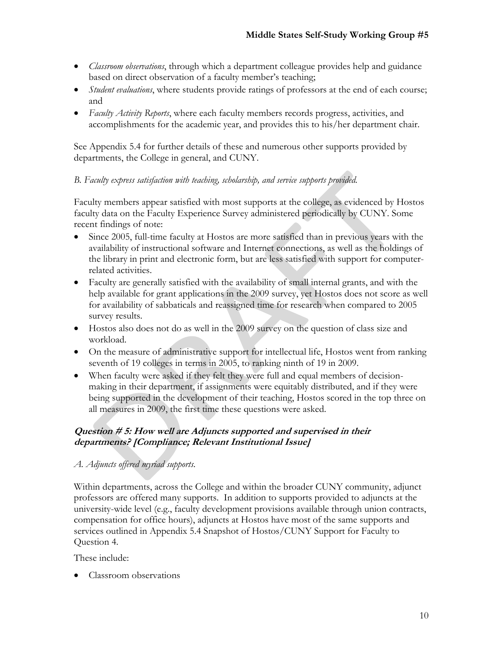- *Classroom observations*, through which a department colleague provides help and guidance based on direct observation of a faculty member's teaching;
- *Student evaluations*, where students provide ratings of professors at the end of each course; and
- *Faculty Activity Reports*, where each faculty members records progress, activities, and accomplishments for the academic year, and provides this to his/her department chair.

See Appendix 5.4 for further details of these and numerous other supports provided by departments, the College in general, and CUNY.

## *B. Faculty express satisfaction with teaching, scholarship, and service supports provided.*

Faculty members appear satisfied with most supports at the college, as evidenced by Hostos faculty data on the Faculty Experience Survey administered periodically by CUNY. Some recent findings of note:

- Since 2005, full-time faculty at Hostos are more satisfied than in previous years with the availability of instructional software and Internet connections, as well as the holdings of the library in print and electronic form, but are less satisfied with support for computerrelated activities.
- Faculty are generally satisfied with the availability of small internal grants, and with the help available for grant applications in the 2009 survey, yet Hostos does not score as well for availability of sabbaticals and reassigned time for research when compared to 2005 survey results.
- Hostos also does not do as well in the 2009 survey on the question of class size and workload.
- On the measure of administrative support for intellectual life, Hostos went from ranking seventh of 19 colleges in terms in 2005, to ranking ninth of 19 in 2009.
- When faculty were asked if they felt they were full and equal members of decisionmaking in their department, if assignments were equitably distributed, and if they were being supported in the development of their teaching, Hostos scored in the top three on all measures in 2009, the first time these questions were asked.

# **Question # 5: How well are Adjuncts supported and supervised in their departments? [Compliance; Relevant Institutional Issue]**

## *A. Adjuncts offered myriad supports.*

Within departments, across the College and within the broader CUNY community, adjunct professors are offered many supports.In addition to supports provided to adjuncts at the university-wide level (e.g., faculty development provisions available through union contracts, compensation for office hours), adjuncts at Hostos have most of the same supports and services outlined in Appendix 5.4 Snapshot of Hostos/CUNY Support for Faculty to Question 4.

These include:

Classroom observations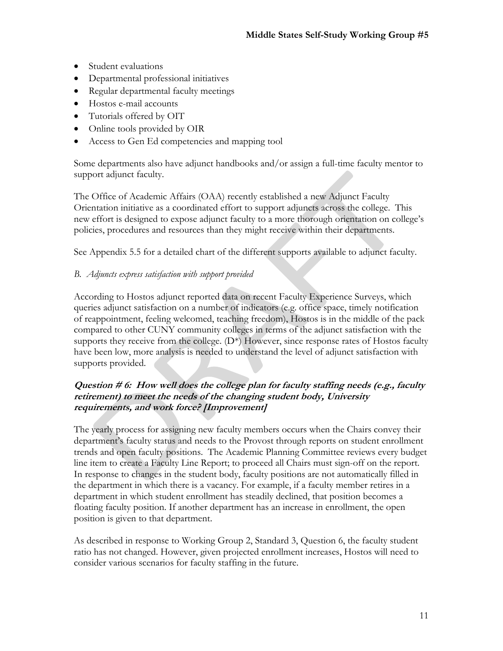- Student evaluations
- Departmental professional initiatives
- Regular departmental faculty meetings
- Hostos e-mail accounts
- Tutorials offered by OIT
- Online tools provided by OIR
- Access to Gen Ed competencies and mapping tool

Some departments also have adjunct handbooks and/or assign a full-time faculty mentor to support adjunct faculty.

The Office of Academic Affairs (OAA) recently established a new Adjunct Faculty Orientation initiative as a coordinated effort to support adjuncts across the college. This new effort is designed to expose adjunct faculty to a more thorough orientation on college's policies, procedures and resources than they might receive within their departments.

See Appendix 5.5 for a detailed chart of the different supports available to adjunct faculty.

## *B. Adjuncts express satisfaction with support provided*

According to Hostos adjunct reported data on recent Faculty Experience Surveys, which queries adjunct satisfaction on a number of indicators (e.g. office space, timely notification of reappointment, feeling welcomed, teaching freedom), Hostos is in the middle of the pack compared to other CUNY community colleges in terms of the adjunct satisfaction with the supports they receive from the college.  $(D^*)$  However, since response rates of Hostos faculty have been low, more analysis is needed to understand the level of adjunct satisfaction with supports provided.

## **Question # 6: How well does the college plan for faculty staffing needs (e.g., faculty retirement) to meet the needs of the changing student body, University requirements, and work force? [Improvement]**

The yearly process for assigning new faculty members occurs when the Chairs convey their department's faculty status and needs to the Provost through reports on student enrollment trends and open faculty positions. The Academic Planning Committee reviews every budget line item to create a Faculty Line Report; to proceed all Chairs must sign-off on the report. In response to changes in the student body, faculty positions are not automatically filled in the department in which there is a vacancy. For example, if a faculty member retires in a department in which student enrollment has steadily declined, that position becomes a floating faculty position. If another department has an increase in enrollment, the open position is given to that department.

As described in response to Working Group 2, Standard 3, Question 6, the faculty student ratio has not changed. However, given projected enrollment increases, Hostos will need to consider various scenarios for faculty staffing in the future.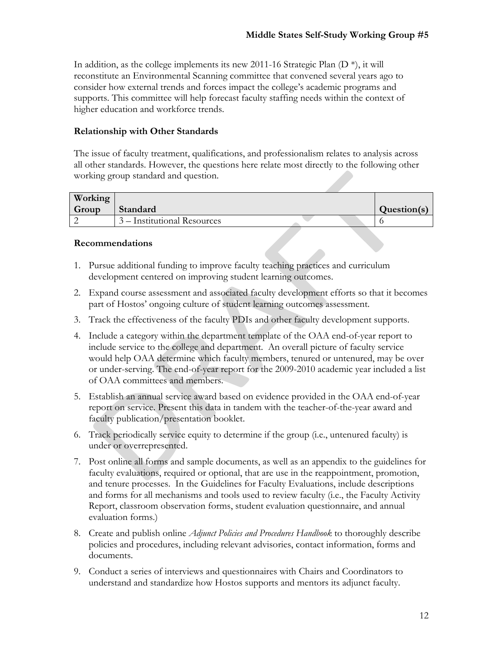In addition, as the college implements its new 2011-16 Strategic Plan  $(D^*)$ , it will reconstitute an Environmental Scanning committee that convened several years ago to consider how external trends and forces impact the college's academic programs and supports. This committee will help forecast faculty staffing needs within the context of higher education and workforce trends.

## **Relationship with Other Standards**

The issue of faculty treatment, qualifications, and professionalism relates to analysis across all other standards. However, the questions here relate most directly to the following other working group standard and question.

| Working |                             |             |
|---------|-----------------------------|-------------|
| Group   | Standard                    | Question(s) |
|         | 3 – Institutional Resources |             |

#### **Recommendations**

- 1. Pursue additional funding to improve faculty teaching practices and curriculum development centered on improving student learning outcomes.
- 2. Expand course assessment and associated faculty development efforts so that it becomes part of Hostos' ongoing culture of student learning outcomes assessment.
- 3. Track the effectiveness of the faculty PDIs and other faculty development supports.
- 4. Include a category within the department template of the OAA end-of-year report to include service to the college and department. An overall picture of faculty service would help OAA determine which faculty members, tenured or untenured, may be over or under-serving. The end-of-year report for the 2009-2010 academic year included a list of OAA committees and members.
- 5. Establish an annual service award based on evidence provided in the OAA end-of-year report on service. Present this data in tandem with the teacher-of-the-year award and faculty publication/presentation booklet.
- 6. Track periodically service equity to determine if the group (i.e., untenured faculty) is under or overrepresented.
- 7. Post online all forms and sample documents, as well as an appendix to the guidelines for faculty evaluations, required or optional, that are use in the reappointment, promotion, and tenure processes. In the Guidelines for Faculty Evaluations, include descriptions and forms for all mechanisms and tools used to review faculty (i.e., the Faculty Activity Report, classroom observation forms, student evaluation questionnaire, and annual evaluation forms.)
- 8. Create and publish online *Adjunct Policies and Procedures Handbook* to thoroughly describe policies and procedures, including relevant advisories, contact information, forms and documents.
- 9. Conduct a series of interviews and questionnaires with Chairs and Coordinators to understand and standardize how Hostos supports and mentors its adjunct faculty.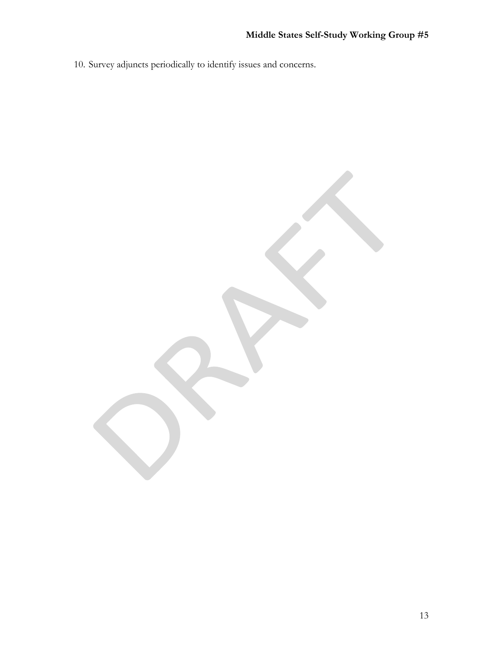10. Survey adjuncts periodically to identify issues and concerns.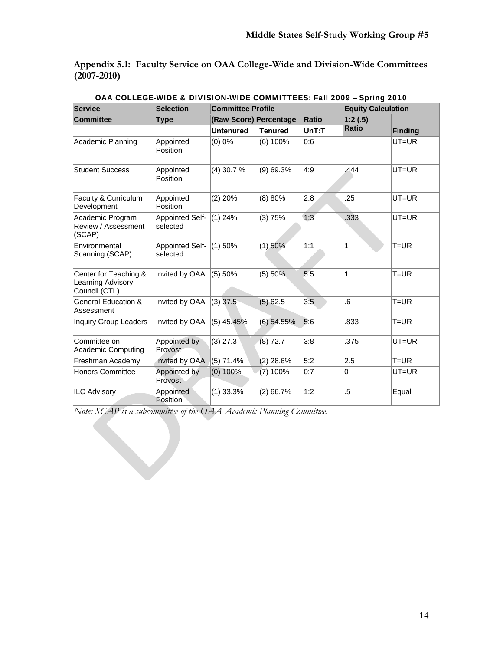**Appendix 5.1: Faculty Service on OAA College-Wide and Division-Wide Committees (2007-2010)**

| <b>Service</b>                                              | <b>Selection</b>                   | <b>Committee Profile</b> |                        |              |              | <b>Equity Calculation</b> |  |
|-------------------------------------------------------------|------------------------------------|--------------------------|------------------------|--------------|--------------|---------------------------|--|
| <b>Committee</b>                                            | <b>Type</b>                        |                          | (Raw Score) Percentage | <b>Ratio</b> | 1:2(.5)      |                           |  |
|                                                             |                                    | <b>Untenured</b>         | <b>Tenured</b>         | $UnT:$ T     | <b>Ratio</b> | <b>Finding</b>            |  |
| Academic Planning                                           | Appointed<br>Position              | $(0)$ 0%                 | $(6)$ 100%             | 0:6          |              | $UT = UR$                 |  |
| <b>Student Success</b>                                      | Appointed<br>Position              | $(4)$ 30.7 %             | $(9)$ 69.3%            | 4:9          | .444         | $UT=UR$                   |  |
| Faculty & Curriculum<br>Development                         | Appointed<br>Position              | $(2)$ 20%                | (8) 80%                | 2:8          | .25          | $UT = UR$                 |  |
| Academic Program<br>Review / Assessment<br>(SCAP)           | Appointed Self-<br>selected        | $(1)$ 24%                | (3) 75%                | 1:3          | .333         | $UT=UR$                   |  |
| Environmental<br>Scanning (SCAP)                            | <b>Appointed Self-</b><br>selected | $(1)$ 50%                | $(1)$ 50%              | 1:1          | 1            | $T = UR$                  |  |
| Center for Teaching &<br>Learning Advisory<br>Council (CTL) | Invited by OAA                     | (5) 50%                  | (5) 50%                | 5:5          | 1            | $T = UR$                  |  |
| <b>General Education &amp;</b><br>Assessment                | Invited by OAA                     | $(3)$ 37.5               | $(5)$ 62.5             | 3:5          | .6           | $T = UR$                  |  |
| <b>Inquiry Group Leaders</b>                                | Invited by OAA                     | $(5)$ 45.45%             | $(6)$ 54.55%           | 5:6          | .833         | $T = UR$                  |  |
| Committee on<br><b>Academic Computing</b>                   | Appointed by<br>Provost            | $(3)$ 27.3               | (8) 72.7               | 3:8          | .375         | UT=UR                     |  |
| Freshman Academy                                            | Invited by OAA                     | $(5)$ 71.4%              | $(2)$ 28.6%            | 5:2          | 2.5          | $T = UR$                  |  |
| <b>Honors Committee</b>                                     | Appointed by<br>Provost            | $(0)$ 100%               | $(7)$ 100%             | 0:7          | 0            | UT=UR                     |  |
| <b>ILC Advisory</b>                                         | Appointed<br>Position              | $(1)$ 33.3%              | $(2)$ 66.7%            | 1:2          | $.5\,$       | Equal                     |  |

OAA COLLEGE-WIDE & DIVISION-WIDE COMMITTEES: Fall 2009 – Spring 2010

*Note: SCAP is a subcommittee of the OAA Academic Planning Committee.*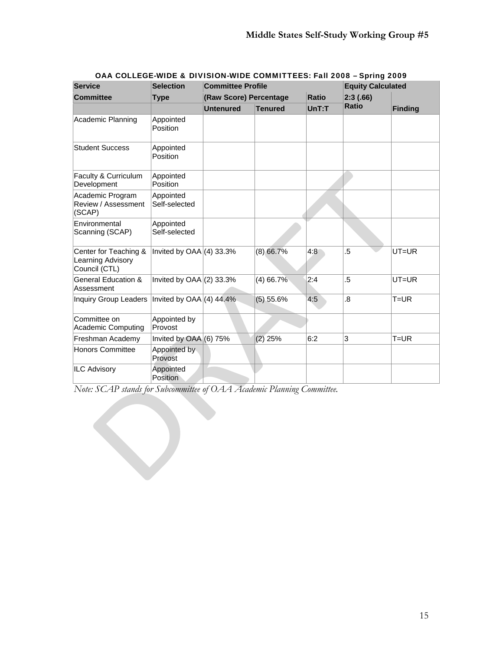| <b>Service</b>                                              | <b>Selection</b>           | <b>Committee Profile</b> |                | $3.1$ an 2000 – 3pmg 2007<br><b>Equity Calculated</b> |              |                |
|-------------------------------------------------------------|----------------------------|--------------------------|----------------|-------------------------------------------------------|--------------|----------------|
| <b>Committee</b>                                            | <b>Type</b>                | (Raw Score) Percentage   |                | Ratio                                                 | 2:3(.66)     |                |
|                                                             |                            | <b>Untenured</b>         | <b>Tenured</b> | UnT: T                                                | <b>Ratio</b> | <b>Finding</b> |
| Academic Planning                                           | Appointed<br>Position      |                          |                |                                                       |              |                |
| <b>Student Success</b>                                      | Appointed<br>Position      |                          |                |                                                       |              |                |
| Faculty & Curriculum<br>Development                         | Appointed<br>Position      |                          |                |                                                       |              |                |
| Academic Program<br>Review / Assessment<br>(SCAP)           | Appointed<br>Self-selected |                          |                |                                                       |              |                |
| Environmental<br>Scanning (SCAP)                            | Appointed<br>Self-selected |                          |                |                                                       |              |                |
| Center for Teaching &<br>Learning Advisory<br>Council (CTL) | Invited by $OAA(4)$ 33.3%  |                          | $(8)$ 66.7%    | 4:8                                                   | .5           | UT=UR          |
| General Education &<br>Assessment                           | Invited by $OAA(2)$ 33.3%  |                          | $(4)$ 66.7%    | 2:4                                                   | $.5\,$       | $UT=UR$        |
| Inquiry Group Leaders                                       | Invited by $OAA(4)$ 44.4%  |                          | $(5)$ 55.6%    | 4:5                                                   | .8           | $T = UR$       |
| Committee on<br><b>Academic Computing</b>                   | Appointed by<br>Provost    |                          |                |                                                       |              |                |
| Freshman Academy                                            | Invited by $OAA(6)$ 75%    |                          | $(2)$ 25%      | 6:2                                                   | 3            | $T = UR$       |
| <b>Honors Committee</b>                                     | Appointed by<br>Provost    |                          |                |                                                       |              |                |
| <b>ILC Advisory</b>                                         | Appointed<br>Position      |                          |                |                                                       |              |                |

### OAA COLLEGE-WIDE & DIVISION-WIDE COMMITTEES: Fall 2008 – Spring 2009

*Note: SCAP stands for Subcommittee of OAA Academic Planning Committee.*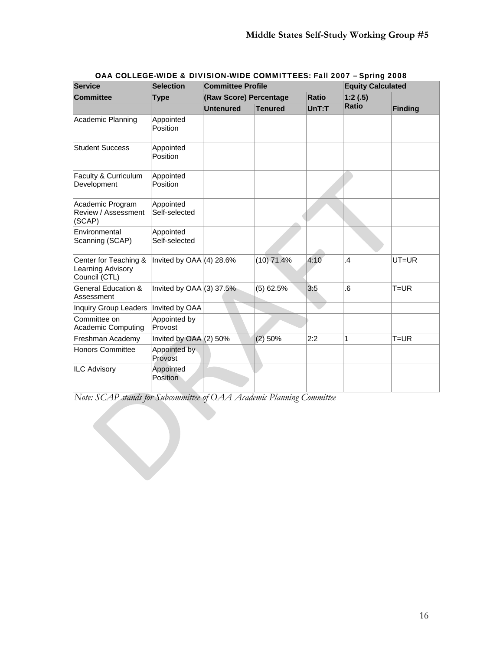| <b>Service</b>                                              | <b>Selection</b>           | <b>Committee Profile</b> |                |              | <b>Equity Calculated</b> |                |
|-------------------------------------------------------------|----------------------------|--------------------------|----------------|--------------|--------------------------|----------------|
| <b>Committee</b>                                            | <b>Type</b>                | (Raw Score) Percentage   |                | <b>Ratio</b> | 1:2(.5)                  |                |
|                                                             |                            | <b>Untenured</b>         | <b>Tenured</b> | UnT: T       | <b>Ratio</b>             | <b>Finding</b> |
| Academic Planning                                           | Appointed<br>Position      |                          |                |              |                          |                |
| <b>Student Success</b>                                      | Appointed<br>Position      |                          |                |              |                          |                |
| Faculty & Curriculum<br>Development                         | Appointed<br>Position      |                          |                |              |                          |                |
| Academic Program<br>Review / Assessment<br>(SCAP)           | Appointed<br>Self-selected |                          |                |              |                          |                |
| Environmental<br>Scanning (SCAP)                            | Appointed<br>Self-selected |                          |                |              |                          |                |
| Center for Teaching &<br>Learning Advisory<br>Council (CTL) | Invited by $OAA(4)$ 28.6%  |                          | $(10)$ 71.4%   | 4:10         | $\overline{A}$           | $UT=UR$        |
| <b>General Education &amp;</b><br>Assessment                | Invited by $OAA(3)$ 37.5%  |                          | $(5)$ 62.5%    | 3:5          | 6.6                      | $T = UR$       |
| Inquiry Group Leaders                                       | Invited by OAA             |                          |                |              |                          |                |
| Committee on<br><b>Academic Computing</b>                   | Appointed by<br>Provost    |                          |                |              |                          |                |
| Freshman Academy                                            | Invited by $OAA(2)$ 50%    |                          | $(2)$ 50%      | 2:2          | 1                        | $T = UR$       |
| <b>Honors Committee</b>                                     | Appointed by<br>Provost    |                          |                |              |                          |                |
| <b>ILC Advisory</b>                                         | Appointed<br>Position      |                          |                |              |                          |                |

### OAA COLLEGE-WIDE & DIVISION-WIDE COMMITTEES: Fall 2007 – Spring 2008

*Note: SCAP stands for Subcommittee of OAA Academic Planning Committee*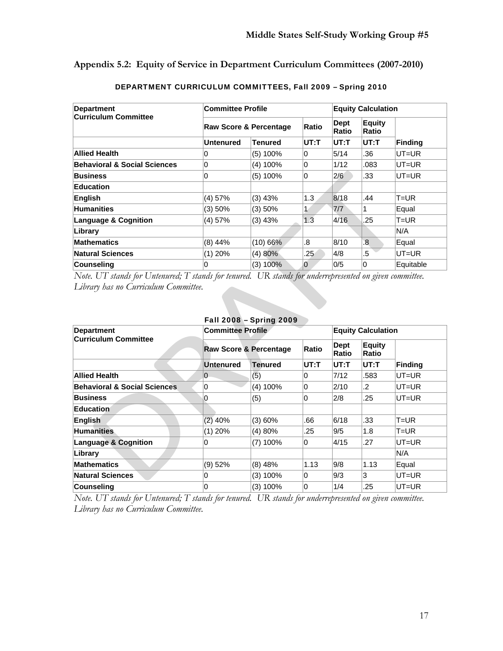**Appendix 5.2: Equity of Service in Department Curriculum Committees (2007-2010)** 

| <b>Department</b>                       | <b>Committee Profile</b> |                                   |      | <b>Equity Calculation</b> |                        |                |  |
|-----------------------------------------|--------------------------|-----------------------------------|------|---------------------------|------------------------|----------------|--|
| <b>Curriculum Committee</b>             |                          | <b>Raw Score &amp; Percentage</b> |      |                           | <b>Equity</b><br>Ratio |                |  |
|                                         | <b>Untenured</b>         | <b>Tenured</b>                    | UT:T | $UT:$ T                   | $UT:$ T                | <b>Finding</b> |  |
| <b>Allied Health</b>                    | 0                        | $(5)$ 100%                        | 0    | 5/14                      | .36                    | UT=UR          |  |
| <b>Behavioral &amp; Social Sciences</b> | 0                        | $(4)$ 100%                        | 0    | 1/12                      | .083                   | $UT=UR$        |  |
| <b>Business</b>                         | 0                        | $(5)$ 100%                        | 0    | 2/6                       | .33                    | UT=UR          |  |
| <b>Education</b>                        |                          |                                   |      |                           |                        |                |  |
| <b>English</b>                          | $(4)$ 57%                | $(3)$ 43%                         | 1.3  | 8/18                      | .44                    | $T = UR$       |  |
| <b>Humanities</b>                       | (3) 50%                  | (3) 50%                           |      | 7/7                       | 1                      | Equal          |  |
| <b>Language &amp; Cognition</b>         | $(4)$ 57%                | $(3)$ 43%                         | 1.3  | 4/16                      | .25                    | T=UR           |  |
| Library                                 |                          |                                   |      |                           |                        | N/A            |  |
| <b>Mathematics</b>                      | $(8)$ 44%                | $(10)$ 66%                        | 8.   | 8/10                      | .8                     | Equal          |  |
| <b>Natural Sciences</b>                 | $(1)$ 20%                | (4)80%                            | .25  | 4/8                       | .5                     | UT=UR          |  |
| <b>Counseling</b>                       | 0                        | (3) 100%                          | 0    | 0/5                       | 0                      | Equitable      |  |

### DEPARTMENT CURRICULUM COMMITTEES, Fall 2009 – Spring 2010

*Note. UT stands for Untenured; T stands for tenured. UR stands for underrepresented on given committee. Library has no Curriculum Committee.* 

| Fall 2008 - Spring 2009                 |                          |                                            |         |                           |                        |                |  |  |  |
|-----------------------------------------|--------------------------|--------------------------------------------|---------|---------------------------|------------------------|----------------|--|--|--|
| <b>Department</b>                       | <b>Committee Profile</b> |                                            |         | <b>Equity Calculation</b> |                        |                |  |  |  |
| <b>Curriculum Committee</b>             |                          | Ratio<br><b>Raw Score &amp; Percentage</b> |         |                           | <b>Equity</b><br>Ratio |                |  |  |  |
|                                         | <b>Untenured</b>         | <b>Tenured</b>                             | $UT:$ T | $UT:$ T                   | $UT:$ T                | <b>Finding</b> |  |  |  |
| <b>Allied Health</b>                    | $\mathbf 0$              | (5)                                        | 0       | 7/12                      | .583                   | UT=UR          |  |  |  |
| <b>Behavioral &amp; Social Sciences</b> | 0                        | $(4)$ 100%                                 | 0       | 2/10                      | $\cdot$                | $UT=UR$        |  |  |  |
| <b>Business</b>                         | 0                        | (5)                                        | 0       | 2/8                       | .25                    | $UT=UR$        |  |  |  |
| <b>Education</b>                        |                          |                                            |         |                           |                        |                |  |  |  |
| <b>English</b>                          | $(2)$ 40%                | (3) 60%                                    | .66     | 6/18                      | .33                    | $T = UR$       |  |  |  |
| <b>Humanities</b>                       | $(1)$ 20%                | (4) 80%                                    | .25     | 9/5                       | 1.8                    | $T = UR$       |  |  |  |
| <b>Language &amp; Cognition</b>         | 0                        | $(7)$ 100%                                 | 0       | 4/15                      | .27                    | $UT=UR$        |  |  |  |
| Library                                 |                          |                                            |         |                           |                        | N/A            |  |  |  |
| <b>Mathematics</b>                      | $(9)$ 52%                | $(8)$ 48%                                  | 1.13    | 9/8                       | 1.13                   | Equal          |  |  |  |
| <b>Natural Sciences</b>                 | 0                        | $(3)$ 100%                                 | 0       | 9/3                       | 3                      | UT=UR          |  |  |  |
| <b>Counseling</b>                       | 0                        | (3) 100%                                   | 0       | 1/4                       | .25                    | $UT=UR$        |  |  |  |

*Note. UT stands for Untenured; T stands for tenured. UR stands for underrepresented on given committee. Library has no Curriculum Committee.*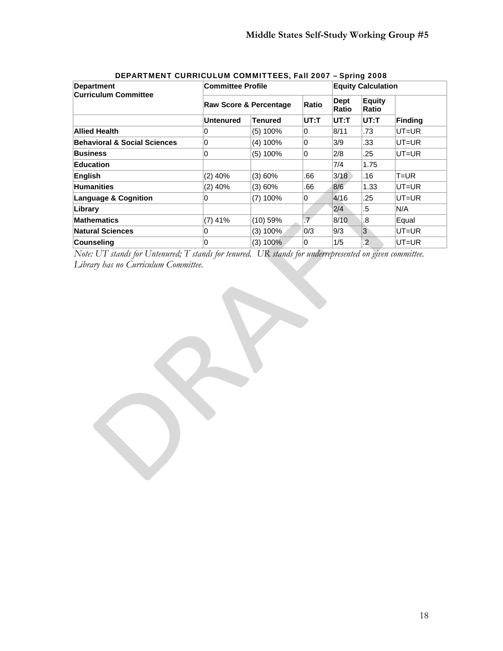| <b>Department</b>                       | <b>Committee Profile</b> |                |                      | <b>Equity Calculation</b> |                |                |  |
|-----------------------------------------|--------------------------|----------------|----------------------|---------------------------|----------------|----------------|--|
| <b>Curriculum Committee</b>             | Raw Score & Percentage   | Ratio          | <b>Dept</b><br>Ratio | <b>Equity</b><br>Ratio    |                |                |  |
|                                         | <b>Untenured</b>         | <b>Tenured</b> | $UT:$ T              | UT:T                      | $UT:$ T        | <b>Finding</b> |  |
| <b>Allied Health</b>                    | 0                        | $(5)$ 100%     | $\Omega$             | 8/11                      | .73            | UT=UR          |  |
| <b>Behavioral &amp; Social Sciences</b> | 0                        | $(4)$ 100%     | $\Omega$             | 3/9                       | .33            | UT=UR          |  |
| <b>Business</b>                         | 0                        | $(5)$ 100%     | $\Omega$             | 2/8                       | .25            | $UT = UR$      |  |
| <b>Education</b>                        |                          |                |                      | 7/4                       | 1.75           |                |  |
| English                                 | $(2)$ 40%                | (3) 60%        | .66                  | 3/18                      | .16            | T=UR           |  |
| <b>Humanities</b>                       | $(2)$ 40%                | (3) 60%        | .66                  | 8/6                       | 1.33           | UT=UR          |  |
| <b>Language &amp; Cognition</b>         | 0                        | $(7)$ 100%     | 0                    | 4/16                      | .25            | UT=UR          |  |
| Library                                 |                          |                |                      | 2/4                       | .5             | N/A            |  |
| <b>Mathematics</b>                      | $(7)$ 41%                | $(10)$ 59%     | $\overline{f}$       | 8/10                      | .8             | Equal          |  |
| <b>Natural Sciences</b>                 | 0                        | (3) 100%       | 0/3                  | 9/3                       | $\overline{3}$ | UT=UR          |  |
| <b>Counseling</b>                       | 0                        | (3) 100%       | 0                    | 1/5                       | $\overline{2}$ | $UT = UR$      |  |

## DEPARTMENT CURRICULUM COMMITTEES, Fall 2007 – Spring 2008

*Note: UT stands for Untenured; T stands for tenured. UR stands for underrepresented on given committee. Library has no Curriculum Committee.*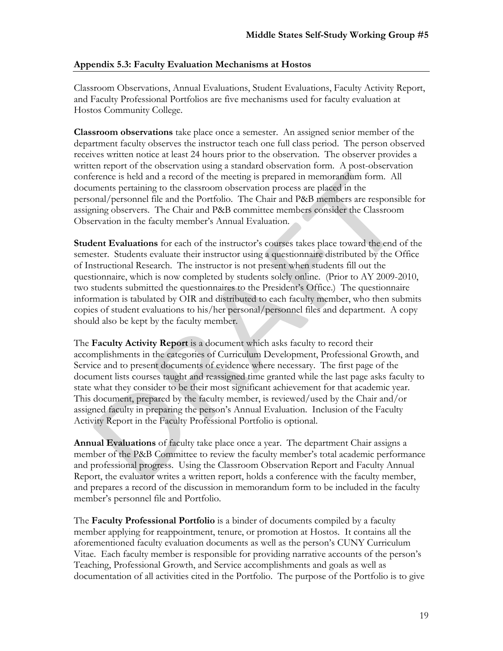## **Appendix 5.3: Faculty Evaluation Mechanisms at Hostos**

Classroom Observations, Annual Evaluations, Student Evaluations, Faculty Activity Report, and Faculty Professional Portfolios are five mechanisms used for faculty evaluation at Hostos Community College.

**Classroom observations** take place once a semester. An assigned senior member of the department faculty observes the instructor teach one full class period.The person observed receives written notice at least 24 hours prior to the observation. The observer provides a written report of the observation using a standard observation form. A post-observation conference is held and a record of the meeting is prepared in memorandum form. All documents pertaining to the classroom observation process are placed in the personal/personnel file and the Portfolio. The Chair and P&B members are responsible for assigning observers. The Chair and P&B committee members consider the Classroom Observation in the faculty member's Annual Evaluation.

**Student Evaluations** for each of the instructor's courses takes place toward the end of the semester. Students evaluate their instructor using a questionnaire distributed by the Office of Instructional Research. The instructor is not present when students fill out the questionnaire, which is now completed by students solely online. (Prior to AY 2009-2010, two students submitted the questionnaires to the President's Office.) The questionnaire information is tabulated by OIR and distributed to each faculty member, who then submits copies of student evaluations to his/her personal/personnel files and department. A copy should also be kept by the faculty member.

The **Faculty Activity Report** is a document which asks faculty to record their accomplishments in the categories of Curriculum Development, Professional Growth, and Service and to present documents of evidence where necessary. The first page of the document lists courses taught and reassigned time granted while the last page asks faculty to state what they consider to be their most significant achievement for that academic year. This document, prepared by the faculty member, is reviewed/used by the Chair and/or assigned faculty in preparing the person's Annual Evaluation. Inclusion of the Faculty Activity Report in the Faculty Professional Portfolio is optional.

**Annual Evaluations** of faculty take place once a year. The department Chair assigns a member of the P&B Committee to review the faculty member's total academic performance and professional progress. Using the Classroom Observation Report and Faculty Annual Report, the evaluator writes a written report, holds a conference with the faculty member, and prepares a record of the discussion in memorandum form to be included in the faculty member's personnel file and Portfolio.

The **Faculty Professional Portfolio** is a binder of documents compiled by a faculty member applying for reappointment, tenure, or promotion at Hostos. It contains all the aforementioned faculty evaluation documents as well as the person's CUNY Curriculum Vitae. Each faculty member is responsible for providing narrative accounts of the person's Teaching, Professional Growth, and Service accomplishments and goals as well as documentation of all activities cited in the Portfolio. The purpose of the Portfolio is to give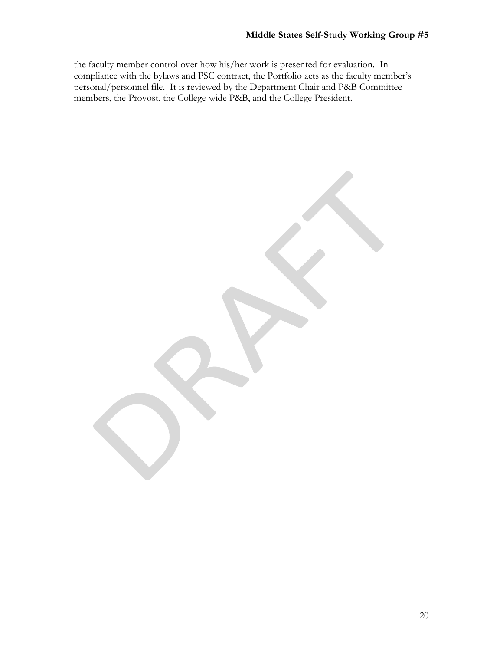the faculty member control over how his/her work is presented for evaluation. In compliance with the bylaws and PSC contract, the Portfolio acts as the faculty member's personal/personnel file. It is reviewed by the Department Chair and P&B Committee members, the Provost, the College-wide P&B, and the College President.

20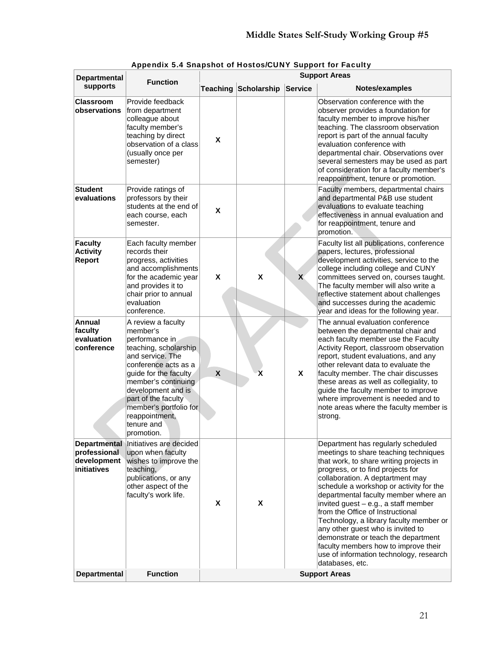| <b>Departmental</b><br><b>Function</b>             |                                                                                                                                                                                                                                                                                            |              |                             |                | <b>Support Areas</b>                                                                                                                                                                                                                                                                                                                                                                                                                                                                                                                                                                        |  |  |
|----------------------------------------------------|--------------------------------------------------------------------------------------------------------------------------------------------------------------------------------------------------------------------------------------------------------------------------------------------|--------------|-----------------------------|----------------|---------------------------------------------------------------------------------------------------------------------------------------------------------------------------------------------------------------------------------------------------------------------------------------------------------------------------------------------------------------------------------------------------------------------------------------------------------------------------------------------------------------------------------------------------------------------------------------------|--|--|
| supports                                           |                                                                                                                                                                                                                                                                                            |              | <b>Teaching Scholarship</b> | <b>Service</b> | Notes/examples                                                                                                                                                                                                                                                                                                                                                                                                                                                                                                                                                                              |  |  |
| <b>Classroom</b><br>observations                   | Provide feedback<br>from department<br>colleague about<br>faculty member's<br>teaching by direct<br>observation of a class<br>(usually once per<br>semester)                                                                                                                               | X            |                             |                | Observation conference with the<br>observer provides a foundation for<br>faculty member to improve his/her<br>teaching. The classroom observation<br>report is part of the annual faculty<br>evaluation conference with<br>departmental chair. Observations over<br>several semesters may be used as part<br>of consideration for a faculty member's<br>reappointment, tenure or promotion.                                                                                                                                                                                                 |  |  |
| <b>Student</b><br>evaluations                      | Provide ratings of<br>professors by their<br>students at the end of<br>each course, each<br>semester.                                                                                                                                                                                      | X            |                             |                | Faculty members, departmental chairs<br>and departmental P&B use student<br>evaluations to evaluate teaching<br>effectiveness in annual evaluation and<br>for reappointment, tenure and<br>promotion.                                                                                                                                                                                                                                                                                                                                                                                       |  |  |
| <b>Faculty</b><br><b>Activity</b><br><b>Report</b> | Each faculty member<br>records their<br>progress, activities<br>and accomplishments<br>for the academic year<br>and provides it to<br>chair prior to annual<br>evaluation<br>conference.                                                                                                   | X            | X                           | $\mathbf{x}$   | Faculty list all publications, conference<br>papers, lectures, professional<br>development activities, service to the<br>college including college and CUNY<br>committees served on, courses taught.<br>The faculty member will also write a<br>reflective statement about challenges<br>and successes during the academic<br>year and ideas for the following year.                                                                                                                                                                                                                        |  |  |
| Annual<br>faculty<br>evaluation<br>conference      | A review a faculty<br>member's<br>performance in<br>teaching, scholarship<br>and service. The<br>conference acts as a<br>guide for the faculty<br>member's continuing<br>development and is<br>part of the faculty<br>member's portfolio for<br>reappointment,<br>tenure and<br>promotion. | $\pmb{\chi}$ | X                           | X              | The annual evaluation conference<br>between the departmental chair and<br>each faculty member use the Faculty<br>Activity Report, classroom observation<br>report, student evaluations, and any<br>other relevant data to evaluate the<br>faculty member. The chair discusses<br>these areas as well as collegiality, to<br>guide the faculty member to improve<br>where improvement is needed and to<br>note areas where the faculty member is<br>strong.                                                                                                                                  |  |  |
| professional<br>development<br>initiatives         | Departmental Initiatives are decided<br>upon when faculty<br>wishes to improve the<br>teaching,<br>publications, or any<br>other aspect of the<br>faculty's work life.                                                                                                                     | X            | X                           |                | Department has regularly scheduled<br>meetings to share teaching techniques<br>that work, to share writing projects in<br>progress, or to find projects for<br>collaboration. A deptartment may<br>schedule a workshop or activity for the<br>departmental faculty member where an<br>invited guest - e.g., a staff member<br>from the Office of Instructional<br>Technology, a library faculty member or<br>any other guest who is invited to<br>demonstrate or teach the department<br>faculty members how to improve their<br>use of information technology, research<br>databases, etc. |  |  |
| <b>Departmental</b>                                | <b>Function</b>                                                                                                                                                                                                                                                                            |              |                             |                | <b>Support Areas</b>                                                                                                                                                                                                                                                                                                                                                                                                                                                                                                                                                                        |  |  |

Appendix 5.4 Snapshot of Hostos/CUNY Support for Faculty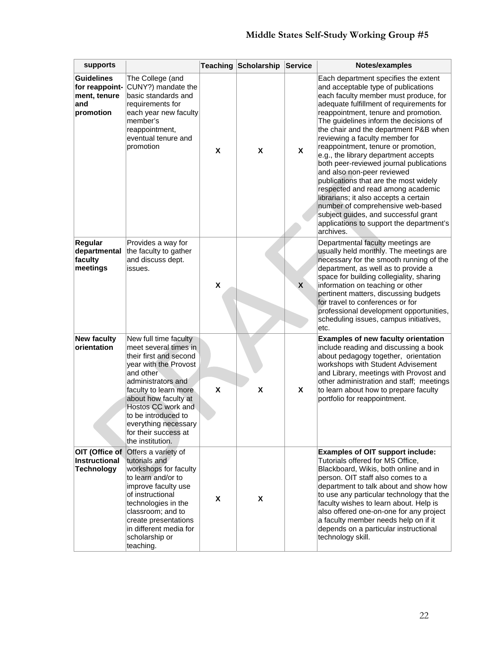# **Middle States Self-Study Working Group #5**

| supports                                                                |                                                                                                                                                                                                                                                                                                        |                    | <b>Teaching Scholarship</b> | <b>Service</b> | Notes/examples                                                                                                                                                                                                                                                                                                                                                                                                                                                                                                                                                                                                                                                                                                                                     |
|-------------------------------------------------------------------------|--------------------------------------------------------------------------------------------------------------------------------------------------------------------------------------------------------------------------------------------------------------------------------------------------------|--------------------|-----------------------------|----------------|----------------------------------------------------------------------------------------------------------------------------------------------------------------------------------------------------------------------------------------------------------------------------------------------------------------------------------------------------------------------------------------------------------------------------------------------------------------------------------------------------------------------------------------------------------------------------------------------------------------------------------------------------------------------------------------------------------------------------------------------------|
| <b>Guidelines</b><br>for reappoint-<br>ment, tenure<br>and<br>promotion | The College (and<br>CUNY?) mandate the<br>basic standards and<br>requirements for<br>each year new faculty<br>member's<br>reappointment,<br>eventual tenure and<br>promotion                                                                                                                           | X                  | X                           | X              | Each department specifies the extent<br>and acceptable type of publications<br>each faculty member must produce, for<br>adequate fulfillment of requirements for<br>reappointment, tenure and promotion.<br>The guidelines inform the decisions of<br>the chair and the department P&B when<br>reviewing a faculty member for<br>reappointment, tenure or promotion,<br>e.g., the library department accepts<br>both peer-reviewed journal publications<br>and also non-peer reviewed<br>publications that are the most widely<br>respected and read among academic<br>librarians; it also accepts a certain<br>number of comprehensive web-based<br>subject guides, and successful grant<br>applications to support the department's<br>archives. |
| Regular<br>departmental<br>faculty<br>meetings                          | Provides a way for<br>the faculty to gather<br>and discuss dept.<br>issues.                                                                                                                                                                                                                            | $\pmb{\mathsf{X}}$ |                             | X              | Departmental faculty meetings are<br>usually held monthly. The meetings are<br>necessary for the smooth running of the<br>department, as well as to provide a<br>space for building collegiality, sharing<br>information on teaching or other<br>pertinent matters, discussing budgets<br>for travel to conferences or for<br>professional development opportunities,<br>scheduling issues, campus initiatives,<br>etc.                                                                                                                                                                                                                                                                                                                            |
| <b>New faculty</b><br>orientation                                       | New full time faculty<br>meet several times in<br>their first and second<br>year with the Provost<br>and other<br>administrators and<br>faculty to learn more<br>about how faculty at<br>Hostos CC work and<br>to be introduced to<br>everything necessary<br>for their success at<br>the institution. | X                  | X                           | X              | <b>Examples of new faculty orientation</b><br>include reading and discussing a book<br>about pedagogy together, orientation<br>workshops with Student Advisement<br>and Library, meetings with Provost and<br>other administration and staff; meetings<br>to learn about how to prepare faculty<br>portfolio for reappointment.                                                                                                                                                                                                                                                                                                                                                                                                                    |
| OIT (Office of<br>Instructional<br><b>Technology</b>                    | Offers a variety of<br>tutorials and<br>workshops for faculty<br>to learn and/or to<br>improve faculty use<br>of instructional<br>technologies in the<br>classroom; and to<br>create presentations<br>in different media for<br>scholarship or<br>teaching.                                            | X                  | X                           |                | <b>Examples of OIT support include:</b><br>Tutorials offered for MS Office,<br>Blackboard, Wikis, both online and in<br>person. OIT staff also comes to a<br>department to talk about and show how<br>to use any particular technology that the<br>faculty wishes to learn about. Help is<br>also offered one-on-one for any project<br>a faculty member needs help on if it<br>depends on a particular instructional<br>technology skill.                                                                                                                                                                                                                                                                                                         |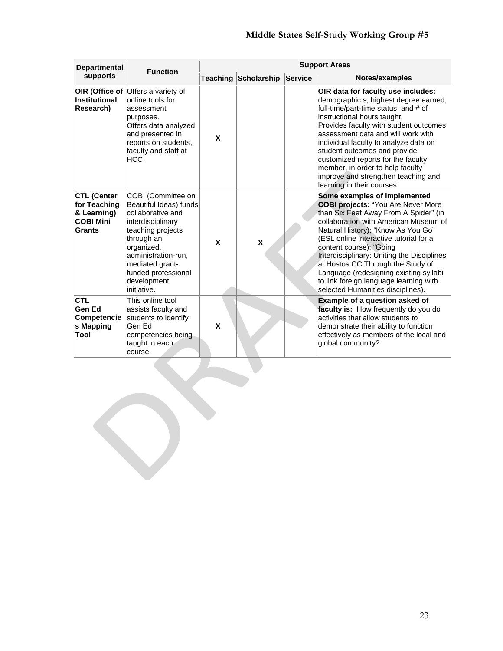| <b>Departmental</b>                                                             | <b>Function</b>                                                                                                                                                                                                                        | <b>Support Areas</b> |                             |         |                                                                                                                                                                                                                                                                                                                                                                                                                                                                                    |  |  |  |
|---------------------------------------------------------------------------------|----------------------------------------------------------------------------------------------------------------------------------------------------------------------------------------------------------------------------------------|----------------------|-----------------------------|---------|------------------------------------------------------------------------------------------------------------------------------------------------------------------------------------------------------------------------------------------------------------------------------------------------------------------------------------------------------------------------------------------------------------------------------------------------------------------------------------|--|--|--|
| supports                                                                        |                                                                                                                                                                                                                                        |                      | <b>Teaching Scholarship</b> | Service | Notes/examples                                                                                                                                                                                                                                                                                                                                                                                                                                                                     |  |  |  |
| Institutional<br>Research)                                                      | <b>OIR (Office of Offers a variety of</b><br>online tools for<br>assessment<br>purposes.<br>Offers data analyzed<br>and presented in<br>reports on students,<br>faculty and staff at<br>HCC.                                           | X                    |                             |         | OIR data for faculty use includes:<br>demographic s, highest degree earned,<br>full-time/part-time status, and # of<br>instructional hours taught.<br>Provides faculty with student outcomes<br>assessment data and will work with<br>individual faculty to analyze data on<br>student outcomes and provide<br>customized reports for the faculty<br>member, in order to help faculty<br>improve and strengthen teaching and<br>learning in their courses.                         |  |  |  |
| <b>CTL (Center</b><br>for Teaching<br>& Learning)<br><b>COBI Mini</b><br>Grants | COBI (Committee on<br>Beautiful Ideas) funds<br>collaborative and<br>interdisciplinary<br>teaching projects<br>through an<br>organized,<br>administration-run.<br>mediated grant-<br>funded professional<br>development<br>initiative. | X                    | X                           |         | Some examples of implemented<br><b>COBI projects: "You Are Never More</b><br>than Six Feet Away From A Spider" (in<br>collaboration with American Museum of<br>Natural History); "Know As You Go"<br>(ESL online interactive tutorial for a<br>content course); "Going<br>Interdisciplinary: Uniting the Disciplines<br>at Hostos CC Through the Study of<br>Language (redesigning existing syllabi<br>to link foreign language learning with<br>selected Humanities disciplines). |  |  |  |
| <b>CTL</b><br><b>Gen Ed</b><br><b>Competencie</b><br>s Mapping<br>Tool          | This online tool<br>assists faculty and<br>students to identify<br>Gen Ed<br>competencies being<br>taught in each<br>course.                                                                                                           | X                    |                             |         | <b>Example of a question asked of</b><br>faculty is: How frequently do you do<br>activities that allow students to<br>demonstrate their ability to function<br>effectively as members of the local and<br>global community?                                                                                                                                                                                                                                                        |  |  |  |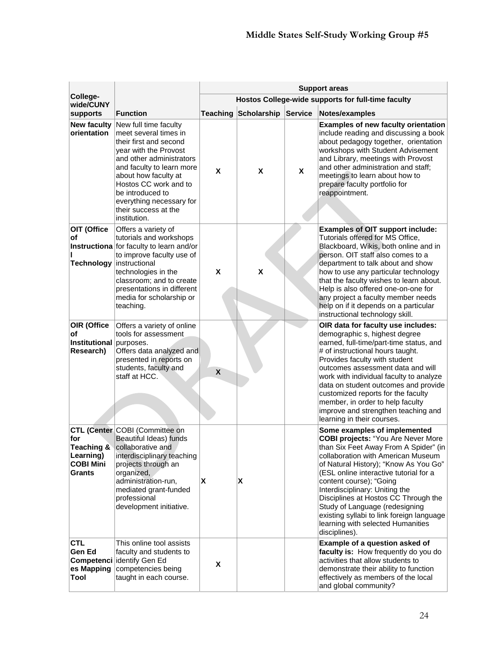|                                                           |                                                                                                                                                                                                                                                                                                     | <b>Support areas</b>      |             |         |                                                                                                                                                                                                                                                                                                                                                                                                                                                                                       |  |  |
|-----------------------------------------------------------|-----------------------------------------------------------------------------------------------------------------------------------------------------------------------------------------------------------------------------------------------------------------------------------------------------|---------------------------|-------------|---------|---------------------------------------------------------------------------------------------------------------------------------------------------------------------------------------------------------------------------------------------------------------------------------------------------------------------------------------------------------------------------------------------------------------------------------------------------------------------------------------|--|--|
| College-<br>wide/CUNY                                     |                                                                                                                                                                                                                                                                                                     |                           |             |         | Hostos College-wide supports for full-time faculty                                                                                                                                                                                                                                                                                                                                                                                                                                    |  |  |
| supports                                                  | <b>Function</b>                                                                                                                                                                                                                                                                                     | Teaching                  | Scholarship | Service | Notes/examples                                                                                                                                                                                                                                                                                                                                                                                                                                                                        |  |  |
| <b>New faculty</b><br>orientation                         | New full time faculty<br>meet several times in<br>their first and second<br>year with the Provost<br>and other administrators<br>and faculty to learn more<br>about how faculty at<br>Hostos CC work and to<br>be introduced to<br>everything necessary for<br>their success at the<br>institution. | X                         | X           | X       | <b>Examples of new faculty orientation</b><br>include reading and discussing a book<br>about pedagogy together, orientation<br>workshops with Student Advisement<br>and Library, meetings with Provost<br>and other administration and staff;<br>meetings to learn about how to<br>prepare faculty portfolio for<br>reappointment.                                                                                                                                                    |  |  |
| OIT (Office<br>of<br>Technology instructional             | Offers a variety of<br>tutorials and workshops<br>Instructiona for faculty to learn and/or<br>to improve faculty use of<br>technologies in the<br>classroom; and to create<br>presentations in different<br>media for scholarship or<br>teaching.                                                   | X                         | X           |         | <b>Examples of OIT support include:</b><br>Tutorials offered for MS Office,<br>Blackboard, Wikis, both online and in<br>person. OIT staff also comes to a<br>department to talk about and show<br>how to use any particular technology<br>that the faculty wishes to learn about.<br>Help is also offered one-on-one for<br>any project a faculty member needs<br>help on if it depends on a particular<br>instructional technology skill.                                            |  |  |
| OIR (Office<br>оf<br>Institutional purposes.<br>Research) | Offers a variety of online<br>tools for assessment<br>Offers data analyzed and<br>presented in reports on<br>students, faculty and<br>staff at HCC.                                                                                                                                                 | $\boldsymbol{\mathsf{X}}$ |             |         | OIR data for faculty use includes:<br>demographic s, highest degree<br>earned, full-time/part-time status, and<br># of instructional hours taught.<br>Provides faculty with student<br>outcomes assessment data and will<br>work with individual faculty to analyze<br>data on student outcomes and provide<br>customized reports for the faculty<br>member, in order to help faculty<br>improve and strengthen teaching and<br>learning in their courses.                            |  |  |
| for<br>Learning)<br><b>COBI Mini</b><br><b>Grants</b>     | CTL (Center COBI (Committee on<br>Beautiful Ideas) funds<br><b>Teaching &amp; collaborative and</b><br>interdisciplinary teaching<br>projects through an<br>organized,<br>administration-run,<br>mediated grant-funded<br>professional<br>development initiative.                                   | X                         | X           |         | Some examples of implemented<br><b>COBI projects: "You Are Never More</b><br>than Six Feet Away From A Spider" (in<br>collaboration with American Museum<br>of Natural History); "Know As You Go"<br>(ESL online interactive tutorial for a<br>content course); "Going<br>Interdisciplinary: Uniting the<br>Disciplines at Hostos CC Through the<br>Study of Language (redesigning<br>existing syllabi to link foreign language<br>learning with selected Humanities<br>disciplines). |  |  |
| <b>CTL</b><br>Gen Ed<br>es Mapping<br>Tool                | This online tool assists<br>faculty and students to<br><b>Competenci identify Gen Ed</b><br>competencies being<br>taught in each course.                                                                                                                                                            | X                         |             |         | Example of a question asked of<br>faculty is: How frequently do you do<br>activities that allow students to<br>demonstrate their ability to function<br>effectively as members of the local<br>and global community?                                                                                                                                                                                                                                                                  |  |  |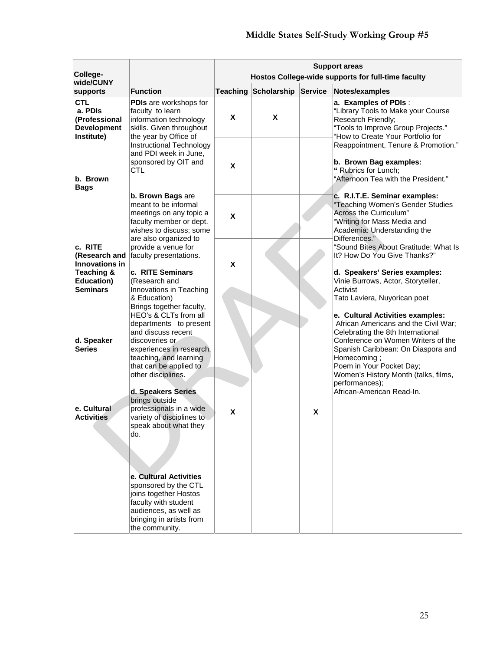|                                                                            |                                                                                                                                                                        | <b>Support areas</b> |                              |   |                                                                                                                                                                               |  |  |
|----------------------------------------------------------------------------|------------------------------------------------------------------------------------------------------------------------------------------------------------------------|----------------------|------------------------------|---|-------------------------------------------------------------------------------------------------------------------------------------------------------------------------------|--|--|
| College-<br>wide/CUNY                                                      |                                                                                                                                                                        |                      |                              |   | Hostos College-wide supports for full-time faculty                                                                                                                            |  |  |
| supports                                                                   | Function                                                                                                                                                               |                      | Teaching Scholarship Service |   | Notes/examples                                                                                                                                                                |  |  |
| <b>CTL</b><br>a. PDIs<br>(Professional<br><b>Development</b><br>Institute) | PDIs are workshops for<br>faculty to learn<br>information technology<br>skills. Given throughout<br>the year by Office of                                              | X                    | X                            |   | a. Examples of PDIs:<br>"Library Tools to Make your Course<br>Research Friendly;<br>"Tools to Improve Group Projects."<br>"How to Create Your Portfolio for                   |  |  |
|                                                                            | <b>Instructional Technology</b><br>and PDI week in June,<br>sponsored by OIT and<br><b>CTL</b>                                                                         | X                    |                              |   | Reappointment, Tenure & Promotion."<br>b. Brown Bag examples:<br>" Rubrics for Lunch;                                                                                         |  |  |
| b. Brown<br><b>Bags</b>                                                    |                                                                                                                                                                        |                      |                              |   | "Afternoon Tea with the President."                                                                                                                                           |  |  |
|                                                                            | b. Brown Bags are<br>meant to be informal<br>meetings on any topic a<br>faculty member or dept.<br>wishes to discuss; some                                             | X                    |                              |   | c. R.I.T.E. Seminar examples:<br>"Teaching Women's Gender Studies<br>Across the Curriculum"<br>"Writing for Mass Media and<br>Academia: Understanding the<br>Differences."    |  |  |
| c. RITE<br>(Research and<br><b>Innovations in</b>                          | are also organized to<br>provide a venue for<br>faculty presentations.                                                                                                 | X                    |                              |   | "Sound Bites About Gratitude: What Is<br>It? How Do You Give Thanks?"                                                                                                         |  |  |
| Teaching &<br><b>Education)</b><br><b>Seminars</b>                         | c. RITE Seminars<br>(Research and<br>Innovations in Teaching<br>& Education)                                                                                           |                      |                              |   | d. Speakers' Series examples:<br>Vinie Burrows, Actor, Storyteller,<br>Activist<br>Tato Laviera, Nuyorican poet                                                               |  |  |
|                                                                            | Brings together faculty,<br>HEO's & CLTs from all<br>departments to present<br>and discuss recent                                                                      |                      |                              |   | e. Cultural Activities examples:<br>African Americans and the Civil War;<br>Celebrating the 8th International                                                                 |  |  |
| d. Speaker<br><b>Series</b>                                                | discoveries or<br>experiences in research,<br>teaching, and learning<br>that can be applied to<br>other disciplines.                                                   |                      |                              |   | Conference on Women Writers of the<br>Spanish Caribbean: On Diaspora and<br>Homecoming;<br>Poem in Your Pocket Day;<br>Women's History Month (talks, films,<br>performances); |  |  |
|                                                                            | d. Speakers Series<br>brings outside                                                                                                                                   |                      |                              |   | African-American Read-In.                                                                                                                                                     |  |  |
| e. Cultural<br><b>Activities</b>                                           | professionals in a wide<br>variety of disciplines to<br>speak about what they<br>do.                                                                                   | X                    |                              | X |                                                                                                                                                                               |  |  |
|                                                                            | e. Cultural Activities<br>sponsored by the CTL<br>joins together Hostos<br>faculty with student<br>audiences, as well as<br>bringing in artists from<br>the community. |                      |                              |   |                                                                                                                                                                               |  |  |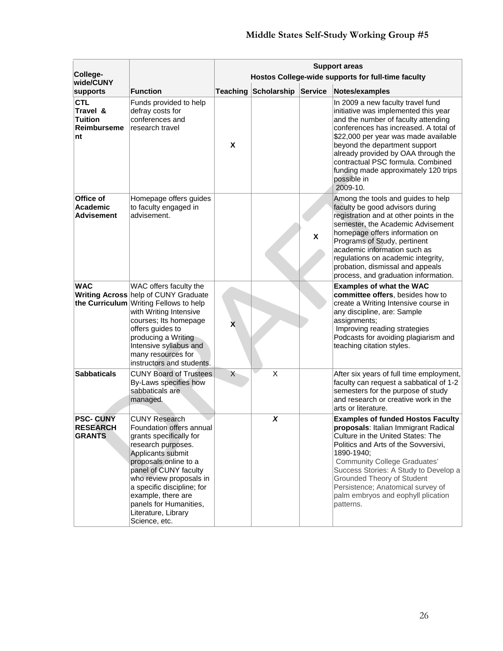|                                                                      |                                                                                                                                                                                                                                                                                                                           | <b>Support areas</b> |                              |   |                                                                                                                                                                                                                                                                                                                                                                                   |  |  |
|----------------------------------------------------------------------|---------------------------------------------------------------------------------------------------------------------------------------------------------------------------------------------------------------------------------------------------------------------------------------------------------------------------|----------------------|------------------------------|---|-----------------------------------------------------------------------------------------------------------------------------------------------------------------------------------------------------------------------------------------------------------------------------------------------------------------------------------------------------------------------------------|--|--|
| College-<br>wide/CUNY                                                |                                                                                                                                                                                                                                                                                                                           |                      |                              |   | Hostos College-wide supports for full-time faculty                                                                                                                                                                                                                                                                                                                                |  |  |
| supports                                                             | <b>Function</b>                                                                                                                                                                                                                                                                                                           |                      | Teaching Scholarship Service |   | Notes/examples                                                                                                                                                                                                                                                                                                                                                                    |  |  |
| <b>CTL</b><br>Travel &<br><b>Tuition</b><br><b>Reimburseme</b><br>nt | Funds provided to help<br>defray costs for<br>conferences and<br>research travel                                                                                                                                                                                                                                          | $\pmb{\mathsf{X}}$   |                              |   | In 2009 a new faculty travel fund<br>initiative was implemented this year<br>and the number of faculty attending<br>conferences has increased. A total of<br>\$22,000 per year was made available<br>beyond the department support<br>already provided by OAA through the<br>contractual PSC formula. Combined<br>funding made approximately 120 trips<br>possible in<br>2009-10. |  |  |
| <b>Office of</b><br>Academic<br><b>Advisement</b>                    | Homepage offers guides<br>to faculty engaged in<br>advisement.                                                                                                                                                                                                                                                            |                      |                              | X | Among the tools and guides to help<br>faculty be good advisors during<br>registration and at other points in the<br>semester, the Academic Advisement<br>homepage offers information on<br>Programs of Study, pertinent<br>academic information such as<br>regulations on academic integrity,<br>probation, dismissal and appeals<br>process, and graduation information.         |  |  |
| <b>WAC</b>                                                           | WAC offers faculty the<br><b>Writing Across help of CUNY Graduate</b><br>the Curriculum Writing Fellows to help<br>with Writing Intensive<br>courses; Its homepage<br>offers guides to<br>producing a Writing<br>Intensive syllabus and<br>many resources for<br>instructors and students.                                | X                    |                              |   | <b>Examples of what the WAC</b><br>committee offers, besides how to<br>create a Writing Intensive course in<br>any discipline, are: Sample<br>assignments;<br>Improving reading strategies<br>Podcasts for avoiding plagiarism and<br>teaching citation styles.                                                                                                                   |  |  |
| <b>Sabbaticals</b>                                                   | <b>CUNY Board of Trustees</b><br>By-Laws specifies how<br>sabbaticals are<br>managed.                                                                                                                                                                                                                                     | X                    | $\times$                     |   | After six years of full time employment,<br>faculty can request a sabbatical of 1-2<br>semesters for the purpose of study<br>and research or creative work in the<br>arts or literature.                                                                                                                                                                                          |  |  |
| <b>PSC- CUNY</b><br><b>RESEARCH</b><br><b>GRANTS</b>                 | <b>CUNY Research</b><br>Foundation offers annual<br>grants specifically for<br>research purposes.<br>Applicants submit<br>proposals online to a<br>panel of CUNY faculty<br>who review proposals in<br>a specific discipline; for<br>example, there are<br>panels for Humanities,<br>Literature, Library<br>Science, etc. |                      | $\boldsymbol{x}$             |   | <b>Examples of funded Hostos Faculty</b><br>proposals: Italian Immigrant Radical<br>Culture in the United States: The<br>Politics and Arts of the Sovversivi,<br>1890-1940;<br><b>Community College Graduates'</b><br>Success Stories: A Study to Develop a<br>Grounded Theory of Student<br>Persistence; Anatomical survey of<br>palm embryos and eophyll plication<br>patterns. |  |  |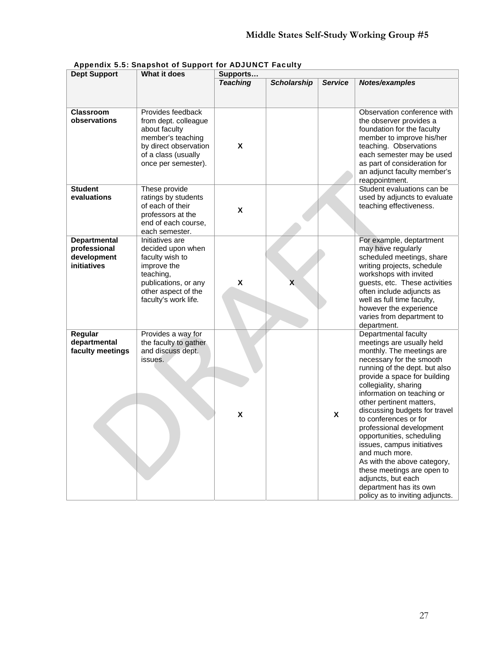| <b>Dept Support</b>                                               | What it does                                                                                                                                               | Supports        |                    |                |                                                                                                                                                                                                                                                                                                                                                                                                                                                                                                                                                                                   |
|-------------------------------------------------------------------|------------------------------------------------------------------------------------------------------------------------------------------------------------|-----------------|--------------------|----------------|-----------------------------------------------------------------------------------------------------------------------------------------------------------------------------------------------------------------------------------------------------------------------------------------------------------------------------------------------------------------------------------------------------------------------------------------------------------------------------------------------------------------------------------------------------------------------------------|
|                                                                   |                                                                                                                                                            | <b>Teaching</b> | <b>Scholarship</b> | <b>Service</b> | Notes/examples                                                                                                                                                                                                                                                                                                                                                                                                                                                                                                                                                                    |
| <b>Classroom</b><br>observations                                  | Provides feedback<br>from dept. colleague<br>about faculty<br>member's teaching<br>by direct observation<br>of a class (usually<br>once per semester).     | X               |                    |                | Observation conference with<br>the observer provides a<br>foundation for the faculty<br>member to improve his/her<br>teaching. Observations<br>each semester may be used<br>as part of consideration for<br>an adjunct faculty member's<br>reappointment.                                                                                                                                                                                                                                                                                                                         |
| <b>Student</b><br>evaluations                                     | These provide<br>ratings by students<br>of each of their<br>professors at the<br>end of each course,<br>each semester.                                     | X               |                    |                | Student evaluations can be<br>used by adjuncts to evaluate<br>teaching effectiveness.                                                                                                                                                                                                                                                                                                                                                                                                                                                                                             |
| <b>Departmental</b><br>professional<br>development<br>initiatives | Initiatives are<br>decided upon when<br>faculty wish to<br>improve the<br>teaching,<br>publications, or any<br>other aspect of the<br>faculty's work life. | X               | X.                 |                | For example, deptartment<br>may have regularly<br>scheduled meetings, share<br>writing projects, schedule<br>workshops with invited<br>guests, etc. These activities<br>often include adjuncts as<br>well as full time faculty,<br>however the experience<br>varies from department to<br>department.                                                                                                                                                                                                                                                                             |
| Regular<br>departmental<br>faculty meetings                       | Provides a way for<br>the faculty to gather<br>and discuss dept.<br>issues.                                                                                | X               |                    | X              | Departmental faculty<br>meetings are usually held<br>monthly. The meetings are<br>necessary for the smooth<br>running of the dept. but also<br>provide a space for building<br>collegiality, sharing<br>information on teaching or<br>other pertinent matters,<br>discussing budgets for travel<br>to conferences or for<br>professional development<br>opportunities, scheduling<br>issues, campus initiatives<br>and much more.<br>As with the above category,<br>these meetings are open to<br>adjuncts, but each<br>department has its own<br>policy as to inviting adjuncts. |

Appendix 5.5: Snapshot of Support for ADJUNCT Faculty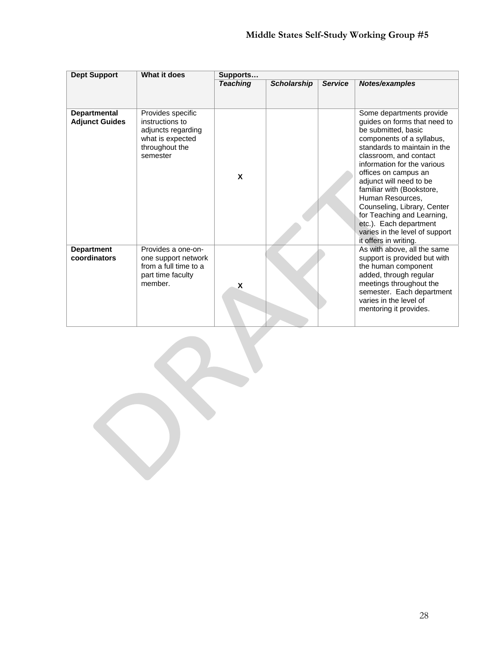| <b>Dept Support</b>                          | What it does                                                                                                 | Supports        |                    |                |                                                                                                                                                                                                                                                                                                                                                                                                                                                             |  |
|----------------------------------------------|--------------------------------------------------------------------------------------------------------------|-----------------|--------------------|----------------|-------------------------------------------------------------------------------------------------------------------------------------------------------------------------------------------------------------------------------------------------------------------------------------------------------------------------------------------------------------------------------------------------------------------------------------------------------------|--|
|                                              |                                                                                                              | <b>Teaching</b> | <b>Scholarship</b> | <b>Service</b> | Notes/examples                                                                                                                                                                                                                                                                                                                                                                                                                                              |  |
| <b>Departmental</b><br><b>Adjunct Guides</b> | Provides specific<br>instructions to<br>adjuncts regarding<br>what is expected<br>throughout the<br>semester | X               |                    |                | Some departments provide<br>guides on forms that need to<br>be submitted, basic<br>components of a syllabus,<br>standards to maintain in the<br>classroom, and contact<br>information for the various<br>offices on campus an<br>adjunct will need to be<br>familiar with (Bookstore,<br>Human Resources,<br>Counseling, Library, Center<br>for Teaching and Learning,<br>etc.). Each department<br>varies in the level of support<br>it offers in writing. |  |
| <b>Department</b><br>coordinators            | Provides a one-on-<br>one support network<br>from a full time to a<br>part time faculty<br>member.           | X               |                    |                | As with above, all the same<br>support is provided but with<br>the human component<br>added, through regular<br>meetings throughout the<br>semester. Each department<br>varies in the level of<br>mentoring it provides.                                                                                                                                                                                                                                    |  |

 $\mathbf{r}$